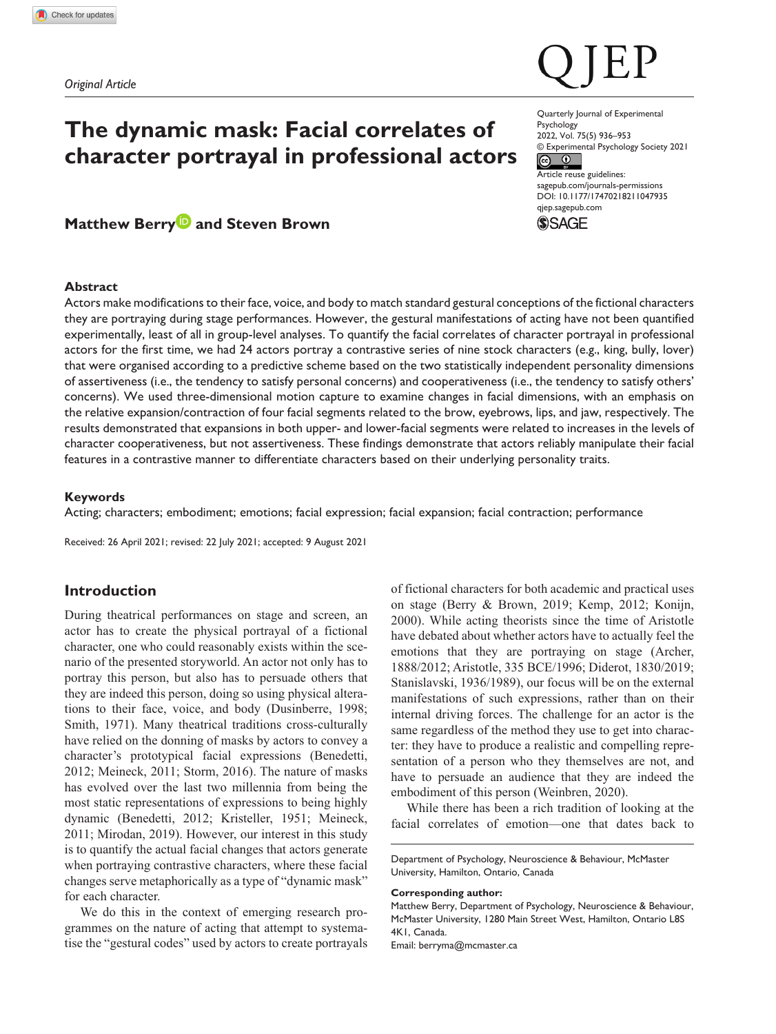# **The dynamic mask: Facial correlates of character portrayal in professional actors**

# **Matthew Berry<sup>D</sup> and Steven Brown**

# **Abstract**

Actors make modifications to their face, voice, and body to match standard gestural conceptions of the fictional characters they are portraying during stage performances. However, the gestural manifestations of acting have not been quantified experimentally, least of all in group-level analyses. To quantify the facial correlates of character portrayal in professional actors for the first time, we had 24 actors portray a contrastive series of nine stock characters (e.g., king, bully, lover) that were organised according to a predictive scheme based on the two statistically independent personality dimensions of assertiveness (i.e., the tendency to satisfy personal concerns) and cooperativeness (i.e., the tendency to satisfy others' concerns). We used three-dimensional motion capture to examine changes in facial dimensions, with an emphasis on the relative expansion/contraction of four facial segments related to the brow, eyebrows, lips, and jaw, respectively. The results demonstrated that expansions in both upper- and lower-facial segments were related to increases in the levels of character cooperativeness, but not assertiveness. These findings demonstrate that actors reliably manipulate their facial features in a contrastive manner to differentiate characters based on their underlying personality traits.

## **Keywords**

Acting; characters; embodiment; emotions; facial expression; facial expansion; facial contraction; performance

Received: 26 April 2021; revised: 22 July 2021; accepted: 9 August 2021

# **Introduction**

During theatrical performances on stage and screen, an actor has to create the physical portrayal of a fictional character, one who could reasonably exists within the scenario of the presented storyworld. An actor not only has to portray this person, but also has to persuade others that they are indeed this person, doing so using physical alterations to their face, voice, and body (Dusinberre, 1998; Smith, 1971). Many theatrical traditions cross-culturally have relied on the donning of masks by actors to convey a character's prototypical facial expressions (Benedetti, 2012; Meineck, 2011; Storm, 2016). The nature of masks has evolved over the last two millennia from being the most static representations of expressions to being highly dynamic (Benedetti, 2012; Kristeller, 1951; Meineck, 2011; Mirodan, 2019). However, our interest in this study is to quantify the actual facial changes that actors generate when portraying contrastive characters, where these facial changes serve metaphorically as a type of "dynamic mask" for each character.

We do this in the context of emerging research programmes on the nature of acting that attempt to systematise the "gestural codes" used by actors to create portrayals of fictional characters for both academic and practical uses on stage (Berry & Brown, 2019; Kemp, 2012; Konijn, 2000). While acting theorists since the time of Aristotle have debated about whether actors have to actually feel the emotions that they are portraying on stage (Archer, 1888/2012; Aristotle, 335 BCE/1996; Diderot, 1830/2019; Stanislavski, 1936/1989), our focus will be on the external manifestations of such expressions, rather than on their internal driving forces. The challenge for an actor is the same regardless of the method they use to get into character: they have to produce a realistic and compelling representation of a person who they themselves are not, and have to persuade an audience that they are indeed the embodiment of this person (Weinbren, 2020).

While there has been a rich tradition of looking at the facial correlates of emotion—one that dates back to

#### **Corresponding author:**

Matthew Berry, Department of Psychology, Neuroscience & Behaviour, McMaster University, 1280 Main Street West, Hamilton, Ontario L8S 4K1, Canada. Email: [berryma@mcmaster.ca](mailto:berryma@mcmaster.ca)

Quarterly Journal of Experimental Psychology 2022, Vol. 75(5) 936–953

© Experimental Psychology Society 2021<br> **©** <sup>0</sup>

Article reuse guidelines: [sagepub.com/journals-permissions](https://uk.sagepub.com/en-gb/journals-permissions) DOI: 10.1177/17470218211047935 [qjep.sagepub.com](http://qjep.sagepub.com) **SSAGE** 



Department of Psychology, Neuroscience & Behaviour, McMaster University, Hamilton, Ontario, Canada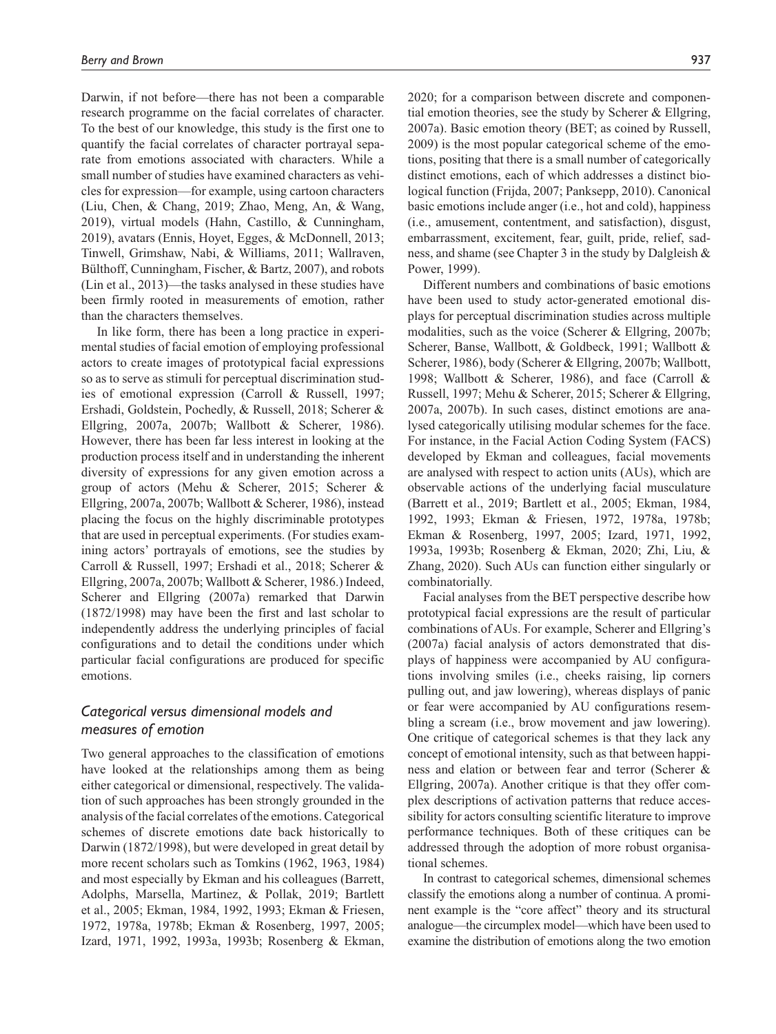Darwin, if not before—there has not been a comparable research programme on the facial correlates of character. To the best of our knowledge, this study is the first one to quantify the facial correlates of character portrayal separate from emotions associated with characters. While a small number of studies have examined characters as vehicles for expression—for example, using cartoon characters (Liu, Chen, & Chang, 2019; Zhao, Meng, An, & Wang, 2019), virtual models (Hahn, Castillo, & Cunningham, 2019), avatars (Ennis, Hoyet, Egges, & McDonnell, 2013; Tinwell, Grimshaw, Nabi, & Williams, 2011; Wallraven, Bülthoff, Cunningham, Fischer, & Bartz, 2007), and robots (Lin et al., 2013)—the tasks analysed in these studies have been firmly rooted in measurements of emotion, rather than the characters themselves.

In like form, there has been a long practice in experimental studies of facial emotion of employing professional actors to create images of prototypical facial expressions so as to serve as stimuli for perceptual discrimination studies of emotional expression (Carroll & Russell, 1997; Ershadi, Goldstein, Pochedly, & Russell, 2018; Scherer & Ellgring, 2007a, 2007b; Wallbott & Scherer, 1986). However, there has been far less interest in looking at the production process itself and in understanding the inherent diversity of expressions for any given emotion across a group of actors (Mehu & Scherer, 2015; Scherer & Ellgring, 2007a, 2007b; Wallbott & Scherer, 1986), instead placing the focus on the highly discriminable prototypes that are used in perceptual experiments. (For studies examining actors' portrayals of emotions, see the studies by Carroll & Russell, 1997; Ershadi et al., 2018; Scherer & Ellgring, 2007a, 2007b; Wallbott & Scherer, 1986.) Indeed, Scherer and Ellgring (2007a) remarked that Darwin (1872/1998) may have been the first and last scholar to independently address the underlying principles of facial configurations and to detail the conditions under which particular facial configurations are produced for specific emotions.

# *Categorical versus dimensional models and measures of emotion*

Two general approaches to the classification of emotions have looked at the relationships among them as being either categorical or dimensional, respectively. The validation of such approaches has been strongly grounded in the analysis of the facial correlates of the emotions. Categorical schemes of discrete emotions date back historically to Darwin (1872/1998), but were developed in great detail by more recent scholars such as Tomkins (1962, 1963, 1984) and most especially by Ekman and his colleagues (Barrett, Adolphs, Marsella, Martinez, & Pollak, 2019; Bartlett et al., 2005; Ekman, 1984, 1992, 1993; Ekman & Friesen, 1972, 1978a, 1978b; Ekman & Rosenberg, 1997, 2005; Izard, 1971, 1992, 1993a, 1993b; Rosenberg & Ekman,

2020; for a comparison between discrete and componential emotion theories, see the study by Scherer & Ellgring, 2007a). Basic emotion theory (BET; as coined by Russell, 2009) is the most popular categorical scheme of the emotions, positing that there is a small number of categorically distinct emotions, each of which addresses a distinct biological function (Frijda, 2007; Panksepp, 2010). Canonical basic emotions include anger (i.e., hot and cold), happiness (i.e., amusement, contentment, and satisfaction), disgust, embarrassment, excitement, fear, guilt, pride, relief, sadness, and shame (see Chapter 3 in the study by Dalgleish & Power, 1999).

Different numbers and combinations of basic emotions have been used to study actor-generated emotional displays for perceptual discrimination studies across multiple modalities, such as the voice (Scherer & Ellgring, 2007b; Scherer, Banse, Wallbott, & Goldbeck, 1991; Wallbott & Scherer, 1986), body (Scherer & Ellgring, 2007b; Wallbott, 1998; Wallbott & Scherer, 1986), and face (Carroll & Russell, 1997; Mehu & Scherer, 2015; Scherer & Ellgring, 2007a, 2007b). In such cases, distinct emotions are analysed categorically utilising modular schemes for the face. For instance, in the Facial Action Coding System (FACS) developed by Ekman and colleagues, facial movements are analysed with respect to action units (AUs), which are observable actions of the underlying facial musculature (Barrett et al., 2019; Bartlett et al., 2005; Ekman, 1984, 1992, 1993; Ekman & Friesen, 1972, 1978a, 1978b; Ekman & Rosenberg, 1997, 2005; Izard, 1971, 1992, 1993a, 1993b; Rosenberg & Ekman, 2020; Zhi, Liu, & Zhang, 2020). Such AUs can function either singularly or combinatorially.

Facial analyses from the BET perspective describe how prototypical facial expressions are the result of particular combinations of AUs. For example, Scherer and Ellgring's (2007a) facial analysis of actors demonstrated that displays of happiness were accompanied by AU configurations involving smiles (i.e., cheeks raising, lip corners pulling out, and jaw lowering), whereas displays of panic or fear were accompanied by AU configurations resembling a scream (i.e., brow movement and jaw lowering). One critique of categorical schemes is that they lack any concept of emotional intensity, such as that between happiness and elation or between fear and terror (Scherer & Ellgring, 2007a). Another critique is that they offer complex descriptions of activation patterns that reduce accessibility for actors consulting scientific literature to improve performance techniques. Both of these critiques can be addressed through the adoption of more robust organisational schemes.

In contrast to categorical schemes, dimensional schemes classify the emotions along a number of continua. A prominent example is the "core affect" theory and its structural analogue—the circumplex model—which have been used to examine the distribution of emotions along the two emotion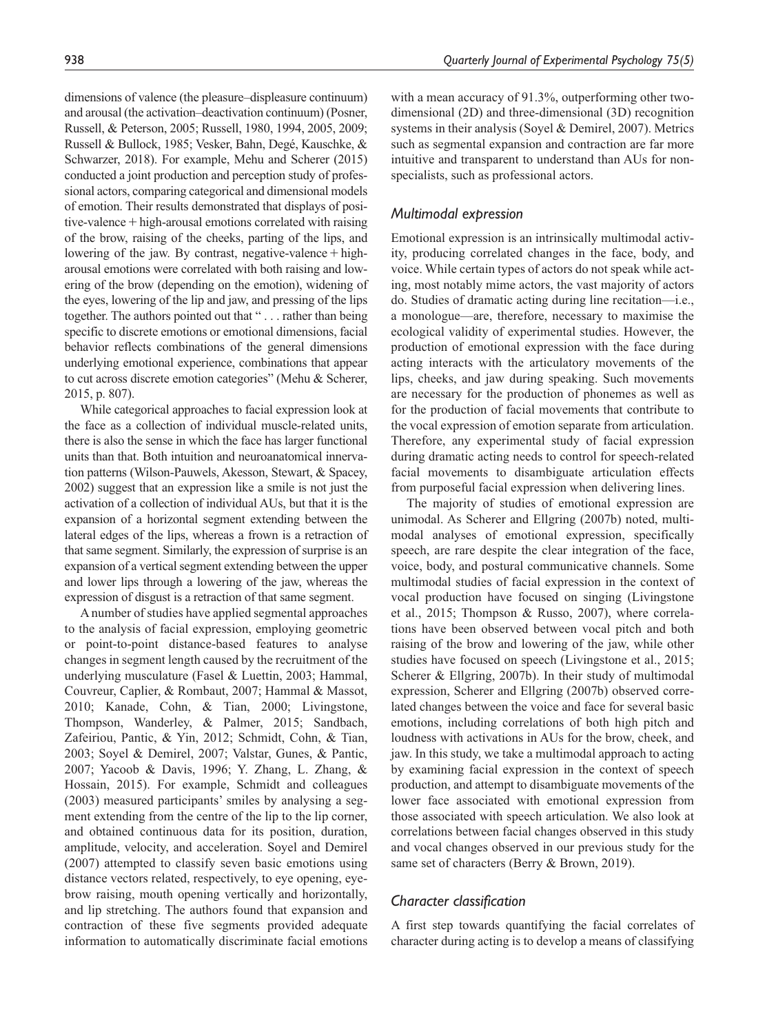dimensions of valence (the pleasure–displeasure continuum) and arousal (the activation–deactivation continuum) (Posner, Russell, & Peterson, 2005; Russell, 1980, 1994, 2005, 2009; Russell & Bullock, 1985; Vesker, Bahn, Degé, Kauschke, & Schwarzer, 2018). For example, Mehu and Scherer (2015) conducted a joint production and perception study of professional actors, comparing categorical and dimensional models of emotion. Their results demonstrated that displays of positive-valence+high-arousal emotions correlated with raising of the brow, raising of the cheeks, parting of the lips, and lowering of the jaw. By contrast, negative-valence  $+$  higharousal emotions were correlated with both raising and lowering of the brow (depending on the emotion), widening of the eyes, lowering of the lip and jaw, and pressing of the lips together. The authors pointed out that " . . . rather than being specific to discrete emotions or emotional dimensions, facial behavior reflects combinations of the general dimensions underlying emotional experience, combinations that appear to cut across discrete emotion categories" (Mehu & Scherer, 2015, p. 807).

While categorical approaches to facial expression look at the face as a collection of individual muscle-related units, there is also the sense in which the face has larger functional units than that. Both intuition and neuroanatomical innervation patterns (Wilson-Pauwels, Akesson, Stewart, & Spacey, 2002) suggest that an expression like a smile is not just the activation of a collection of individual AUs, but that it is the expansion of a horizontal segment extending between the lateral edges of the lips, whereas a frown is a retraction of that same segment. Similarly, the expression of surprise is an expansion of a vertical segment extending between the upper and lower lips through a lowering of the jaw, whereas the expression of disgust is a retraction of that same segment.

A number of studies have applied segmental approaches to the analysis of facial expression, employing geometric or point-to-point distance-based features to analyse changes in segment length caused by the recruitment of the underlying musculature (Fasel & Luettin, 2003; Hammal, Couvreur, Caplier, & Rombaut, 2007; Hammal & Massot, 2010; Kanade, Cohn, & Tian, 2000; Livingstone, Thompson, Wanderley, & Palmer, 2015; Sandbach, Zafeiriou, Pantic, & Yin, 2012; Schmidt, Cohn, & Tian, 2003; Soyel & Demirel, 2007; Valstar, Gunes, & Pantic, 2007; Yacoob & Davis, 1996; Y. Zhang, L. Zhang, & Hossain, 2015). For example, Schmidt and colleagues (2003) measured participants' smiles by analysing a segment extending from the centre of the lip to the lip corner, and obtained continuous data for its position, duration, amplitude, velocity, and acceleration. Soyel and Demirel (2007) attempted to classify seven basic emotions using distance vectors related, respectively, to eye opening, eyebrow raising, mouth opening vertically and horizontally, and lip stretching. The authors found that expansion and contraction of these five segments provided adequate information to automatically discriminate facial emotions

with a mean accuracy of 91.3%, outperforming other twodimensional (2D) and three-dimensional (3D) recognition systems in their analysis (Soyel & Demirel, 2007). Metrics such as segmental expansion and contraction are far more intuitive and transparent to understand than AUs for nonspecialists, such as professional actors.

## *Multimodal expression*

Emotional expression is an intrinsically multimodal activity, producing correlated changes in the face, body, and voice. While certain types of actors do not speak while acting, most notably mime actors, the vast majority of actors do. Studies of dramatic acting during line recitation—i.e., a monologue—are, therefore, necessary to maximise the ecological validity of experimental studies. However, the production of emotional expression with the face during acting interacts with the articulatory movements of the lips, cheeks, and jaw during speaking. Such movements are necessary for the production of phonemes as well as for the production of facial movements that contribute to the vocal expression of emotion separate from articulation. Therefore, any experimental study of facial expression during dramatic acting needs to control for speech-related facial movements to disambiguate articulation effects from purposeful facial expression when delivering lines.

The majority of studies of emotional expression are unimodal. As Scherer and Ellgring (2007b) noted, multimodal analyses of emotional expression, specifically speech, are rare despite the clear integration of the face, voice, body, and postural communicative channels. Some multimodal studies of facial expression in the context of vocal production have focused on singing (Livingstone et al., 2015; Thompson & Russo, 2007), where correlations have been observed between vocal pitch and both raising of the brow and lowering of the jaw, while other studies have focused on speech (Livingstone et al., 2015; Scherer & Ellgring, 2007b). In their study of multimodal expression, Scherer and Ellgring (2007b) observed correlated changes between the voice and face for several basic emotions, including correlations of both high pitch and loudness with activations in AUs for the brow, cheek, and jaw. In this study, we take a multimodal approach to acting by examining facial expression in the context of speech production, and attempt to disambiguate movements of the lower face associated with emotional expression from those associated with speech articulation. We also look at correlations between facial changes observed in this study and vocal changes observed in our previous study for the same set of characters (Berry & Brown, 2019).

# *Character classification*

A first step towards quantifying the facial correlates of character during acting is to develop a means of classifying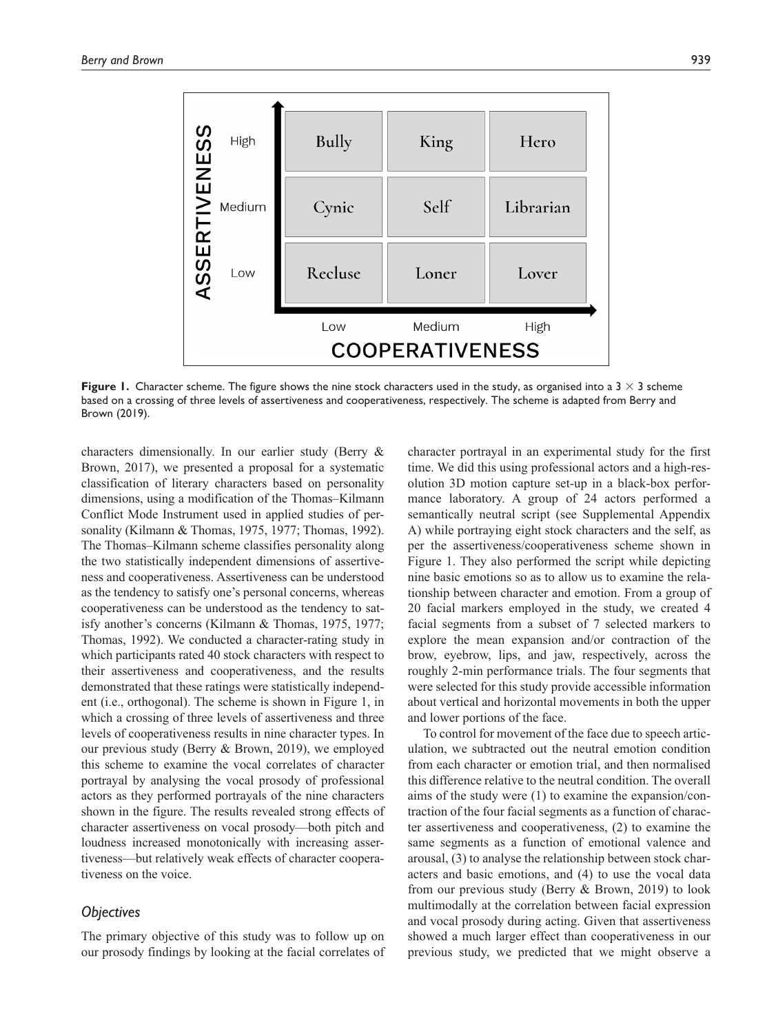

**Figure 1.** Character scheme. The figure shows the nine stock characters used in the study, as organised into a  $3 \times 3$  scheme based on a crossing of three levels of assertiveness and cooperativeness, respectively. The scheme is adapted from Berry and Brown (2019).

characters dimensionally. In our earlier study (Berry & Brown, 2017), we presented a proposal for a systematic classification of literary characters based on personality dimensions, using a modification of the Thomas–Kilmann Conflict Mode Instrument used in applied studies of personality (Kilmann & Thomas, 1975, 1977; Thomas, 1992). The Thomas–Kilmann scheme classifies personality along the two statistically independent dimensions of assertiveness and cooperativeness. Assertiveness can be understood as the tendency to satisfy one's personal concerns, whereas cooperativeness can be understood as the tendency to satisfy another's concerns (Kilmann & Thomas, 1975, 1977; Thomas, 1992). We conducted a character-rating study in which participants rated 40 stock characters with respect to their assertiveness and cooperativeness, and the results demonstrated that these ratings were statistically independent (i.e., orthogonal). The scheme is shown in Figure 1, in which a crossing of three levels of assertiveness and three levels of cooperativeness results in nine character types. In our previous study (Berry & Brown, 2019), we employed this scheme to examine the vocal correlates of character portrayal by analysing the vocal prosody of professional actors as they performed portrayals of the nine characters shown in the figure. The results revealed strong effects of character assertiveness on vocal prosody—both pitch and loudness increased monotonically with increasing assertiveness—but relatively weak effects of character cooperativeness on the voice.

# *Objectives*

The primary objective of this study was to follow up on our prosody findings by looking at the facial correlates of character portrayal in an experimental study for the first time. We did this using professional actors and a high-resolution 3D motion capture set-up in a black-box performance laboratory. A group of 24 actors performed a semantically neutral script (see Supplemental Appendix A) while portraying eight stock characters and the self, as per the assertiveness/cooperativeness scheme shown in Figure 1. They also performed the script while depicting nine basic emotions so as to allow us to examine the relationship between character and emotion. From a group of 20 facial markers employed in the study, we created 4 facial segments from a subset of 7 selected markers to explore the mean expansion and/or contraction of the brow, eyebrow, lips, and jaw, respectively, across the roughly 2-min performance trials. The four segments that were selected for this study provide accessible information about vertical and horizontal movements in both the upper and lower portions of the face.

To control for movement of the face due to speech articulation, we subtracted out the neutral emotion condition from each character or emotion trial, and then normalised this difference relative to the neutral condition. The overall aims of the study were (1) to examine the expansion/contraction of the four facial segments as a function of character assertiveness and cooperativeness, (2) to examine the same segments as a function of emotional valence and arousal, (3) to analyse the relationship between stock characters and basic emotions, and (4) to use the vocal data from our previous study (Berry & Brown, 2019) to look multimodally at the correlation between facial expression and vocal prosody during acting. Given that assertiveness showed a much larger effect than cooperativeness in our previous study, we predicted that we might observe a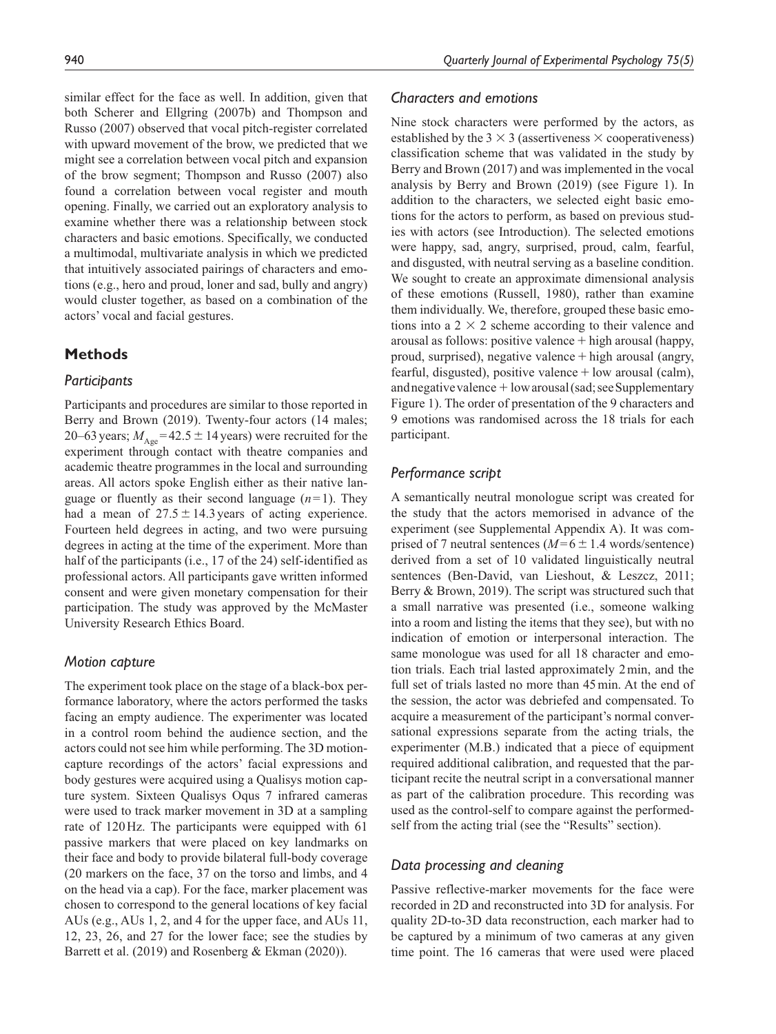similar effect for the face as well. In addition, given that both Scherer and Ellgring (2007b) and Thompson and Russo (2007) observed that vocal pitch-register correlated with upward movement of the brow, we predicted that we might see a correlation between vocal pitch and expansion of the brow segment; Thompson and Russo (2007) also found a correlation between vocal register and mouth opening. Finally, we carried out an exploratory analysis to examine whether there was a relationship between stock characters and basic emotions. Specifically, we conducted a multimodal, multivariate analysis in which we predicted that intuitively associated pairings of characters and emotions (e.g., hero and proud, loner and sad, bully and angry) would cluster together, as based on a combination of the actors' vocal and facial gestures.

## **Methods**

## *Participants*

Participants and procedures are similar to those reported in Berry and Brown (2019). Twenty-four actors (14 males; 20–63 years;  $M_{\text{Age}}$ =42.5  $\pm$  14 years) were recruited for the experiment through contact with theatre companies and academic theatre programmes in the local and surrounding areas. All actors spoke English either as their native language or fluently as their second language  $(n=1)$ . They had a mean of  $27.5 \pm 14.3$  years of acting experience. Fourteen held degrees in acting, and two were pursuing degrees in acting at the time of the experiment. More than half of the participants (i.e., 17 of the 24) self-identified as professional actors. All participants gave written informed consent and were given monetary compensation for their participation. The study was approved by the McMaster University Research Ethics Board.

#### *Motion capture*

The experiment took place on the stage of a black-box performance laboratory, where the actors performed the tasks facing an empty audience. The experimenter was located in a control room behind the audience section, and the actors could not see him while performing. The 3D motioncapture recordings of the actors' facial expressions and body gestures were acquired using a Qualisys motion capture system. Sixteen Qualisys Oqus 7 infrared cameras were used to track marker movement in 3D at a sampling rate of 120Hz. The participants were equipped with 61 passive markers that were placed on key landmarks on their face and body to provide bilateral full-body coverage (20 markers on the face, 37 on the torso and limbs, and 4 on the head via a cap). For the face, marker placement was chosen to correspond to the general locations of key facial AUs (e.g., AUs 1, 2, and 4 for the upper face, and AUs 11, 12, 23, 26, and 27 for the lower face; see the studies by Barrett et al. (2019) and Rosenberg & Ekman (2020)).

## *Characters and emotions*

Nine stock characters were performed by the actors, as established by the  $3 \times 3$  (assertiveness  $\times$  cooperativeness) classification scheme that was validated in the study by Berry and Brown (2017) and was implemented in the vocal analysis by Berry and Brown (2019) (see Figure 1). In addition to the characters, we selected eight basic emotions for the actors to perform, as based on previous studies with actors (see Introduction). The selected emotions were happy, sad, angry, surprised, proud, calm, fearful, and disgusted, with neutral serving as a baseline condition. We sought to create an approximate dimensional analysis of these emotions (Russell, 1980), rather than examine them individually. We, therefore, grouped these basic emotions into a  $2 \times 2$  scheme according to their valence and arousal as follows: positive valence+high arousal (happy, proud, surprised), negative valence+high arousal (angry, fearful, disgusted), positive valence  $+$  low arousal (calm), and negative valence  $+$  low arousal (sad; see Supplementary Figure 1). The order of presentation of the 9 characters and 9 emotions was randomised across the 18 trials for each participant.

#### *Performance script*

A semantically neutral monologue script was created for the study that the actors memorised in advance of the experiment (see Supplemental Appendix A). It was comprised of 7 neutral sentences ( $M=6\pm1.4$  words/sentence) derived from a set of 10 validated linguistically neutral sentences (Ben-David, van Lieshout, & Leszcz, 2011; Berry & Brown, 2019). The script was structured such that a small narrative was presented (i.e., someone walking into a room and listing the items that they see), but with no indication of emotion or interpersonal interaction. The same monologue was used for all 18 character and emotion trials. Each trial lasted approximately 2min, and the full set of trials lasted no more than 45min. At the end of the session, the actor was debriefed and compensated. To acquire a measurement of the participant's normal conversational expressions separate from the acting trials, the experimenter (M.B.) indicated that a piece of equipment required additional calibration, and requested that the participant recite the neutral script in a conversational manner as part of the calibration procedure. This recording was used as the control-self to compare against the performedself from the acting trial (see the "Results" section).

## *Data processing and cleaning*

Passive reflective-marker movements for the face were recorded in 2D and reconstructed into 3D for analysis. For quality 2D-to-3D data reconstruction, each marker had to be captured by a minimum of two cameras at any given time point. The 16 cameras that were used were placed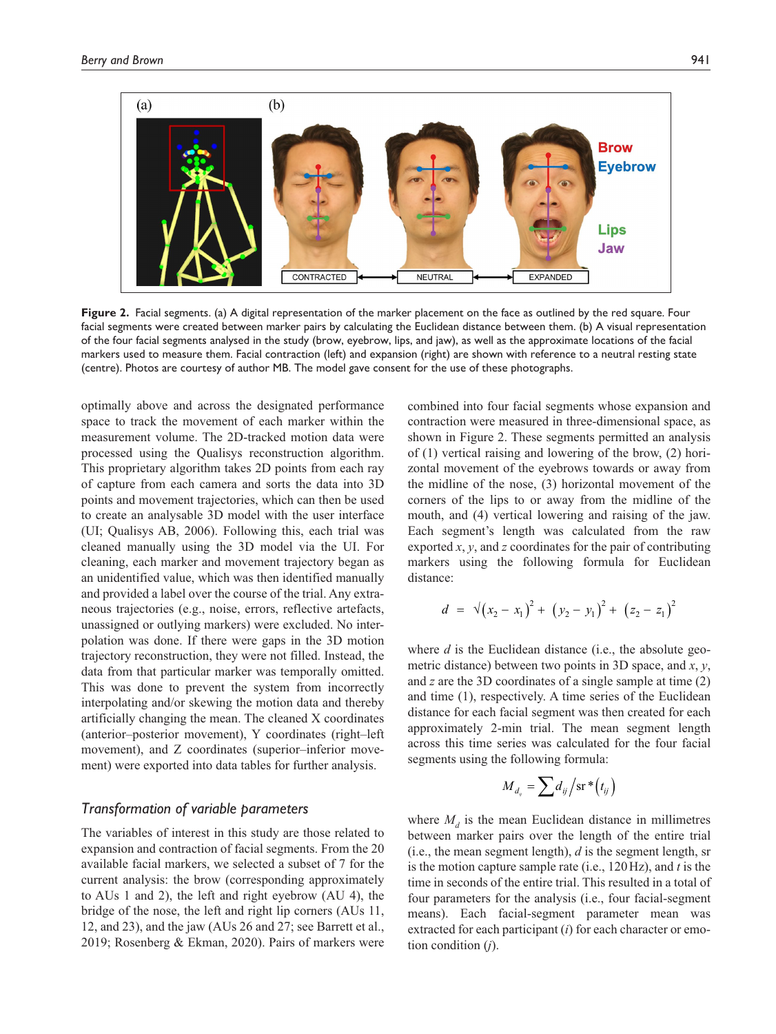

**Figure 2.** Facial segments. (a) A digital representation of the marker placement on the face as outlined by the red square. Four facial segments were created between marker pairs by calculating the Euclidean distance between them. (b) A visual representation of the four facial segments analysed in the study (brow, eyebrow, lips, and jaw), as well as the approximate locations of the facial markers used to measure them. Facial contraction (left) and expansion (right) are shown with reference to a neutral resting state (centre). Photos are courtesy of author MB. The model gave consent for the use of these photographs.

optimally above and across the designated performance space to track the movement of each marker within the measurement volume. The 2D-tracked motion data were processed using the Qualisys reconstruction algorithm. This proprietary algorithm takes 2D points from each ray of capture from each camera and sorts the data into 3D points and movement trajectories, which can then be used to create an analysable 3D model with the user interface (UI; Qualisys AB, 2006). Following this, each trial was cleaned manually using the 3D model via the UI. For cleaning, each marker and movement trajectory began as an unidentified value, which was then identified manually and provided a label over the course of the trial. Any extraneous trajectories (e.g., noise, errors, reflective artefacts, unassigned or outlying markers) were excluded. No interpolation was done. If there were gaps in the 3D motion trajectory reconstruction, they were not filled. Instead, the data from that particular marker was temporally omitted. This was done to prevent the system from incorrectly interpolating and/or skewing the motion data and thereby artificially changing the mean. The cleaned X coordinates (anterior–posterior movement), Y coordinates (right–left movement), and Z coordinates (superior–inferior movement) were exported into data tables for further analysis.

# *Transformation of variable parameters*

The variables of interest in this study are those related to expansion and contraction of facial segments. From the 20 available facial markers, we selected a subset of 7 for the current analysis: the brow (corresponding approximately to AUs 1 and 2), the left and right eyebrow (AU 4), the bridge of the nose, the left and right lip corners (AUs 11, 12, and 23), and the jaw (AUs 26 and 27; see Barrett et al., 2019; Rosenberg & Ekman, 2020). Pairs of markers were combined into four facial segments whose expansion and contraction were measured in three-dimensional space, as shown in Figure 2. These segments permitted an analysis of (1) vertical raising and lowering of the brow, (2) horizontal movement of the eyebrows towards or away from the midline of the nose, (3) horizontal movement of the corners of the lips to or away from the midline of the mouth, and (4) vertical lowering and raising of the jaw. Each segment's length was calculated from the raw exported *x*, *y*, and *z* coordinates for the pair of contributing markers using the following formula for Euclidean distance:

$$
d = \sqrt{(x_2 - x_1)^2 + (y_2 - y_1)^2 + (z_2 - z_1)^2}
$$

where *d* is the Euclidean distance (i.e., the absolute geometric distance) between two points in 3D space, and *x*, *y*, and *z* are the 3D coordinates of a single sample at time (2) and time (1), respectively. A time series of the Euclidean distance for each facial segment was then created for each approximately 2-min trial. The mean segment length across this time series was calculated for the four facial segments using the following formula:

$$
M_{d_{ij}} = \sum d_{ij} / \operatorname{sr} * (t_{ij})
$$

where  $M_d$  is the mean Euclidean distance in millimetres between marker pairs over the length of the entire trial (i.e., the mean segment length), *d* is the segment length, sr is the motion capture sample rate (i.e., 120Hz), and *t* is the time in seconds of the entire trial. This resulted in a total of four parameters for the analysis (i.e., four facial-segment means). Each facial-segment parameter mean was extracted for each participant (*i*) for each character or emotion condition (*j*).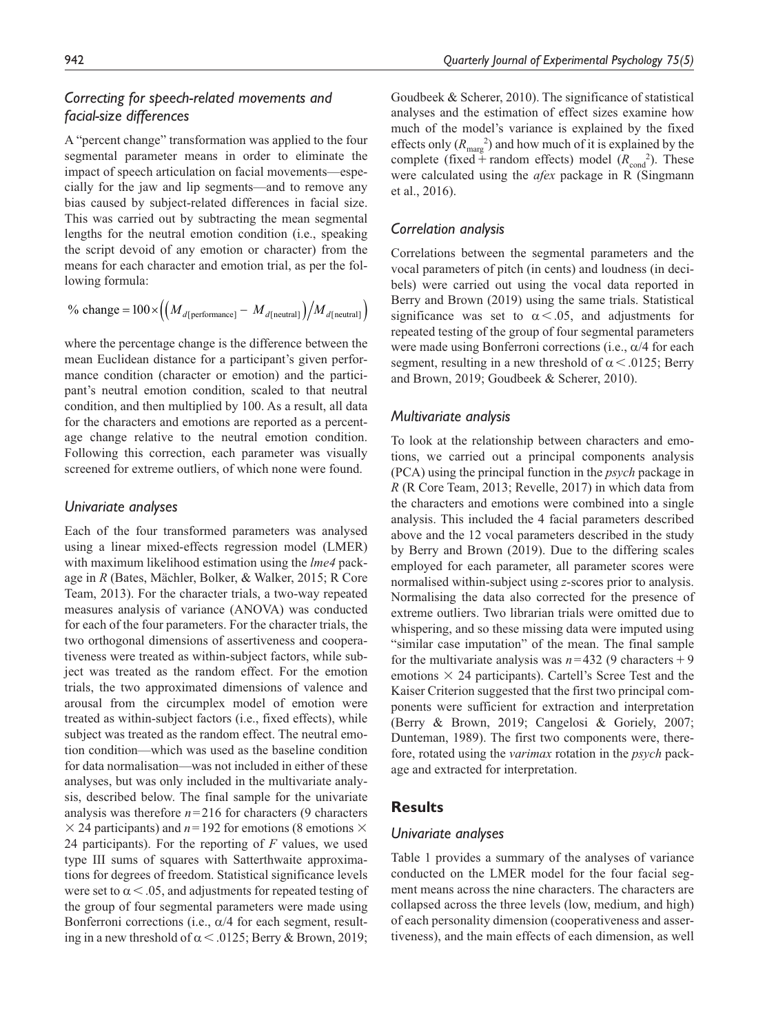# *Correcting for speech-related movements and facial-size differences*

A "percent change" transformation was applied to the four segmental parameter means in order to eliminate the impact of speech articulation on facial movements—especially for the jaw and lip segments—and to remove any bias caused by subject-related differences in facial size. This was carried out by subtracting the mean segmental lengths for the neutral emotion condition (i.e., speaking the script devoid of any emotion or character) from the means for each character and emotion trial, as per the following formula:

% change = 
$$
100 \times \left( \left( M_{d[\text{performance}]} - M_{d[\text{neutral}]} \right) \right) / M_{d[\text{neutral}]}
$$

where the percentage change is the difference between the mean Euclidean distance for a participant's given performance condition (character or emotion) and the participant's neutral emotion condition, scaled to that neutral condition, and then multiplied by 100. As a result, all data for the characters and emotions are reported as a percentage change relative to the neutral emotion condition. Following this correction, each parameter was visually screened for extreme outliers, of which none were found.

## *Univariate analyses*

Each of the four transformed parameters was analysed using a linear mixed-effects regression model (LMER) with maximum likelihood estimation using the *lme4* package in *R* (Bates, Mächler, Bolker, & Walker, 2015; R Core Team, 2013). For the character trials, a two-way repeated measures analysis of variance (ANOVA) was conducted for each of the four parameters. For the character trials, the two orthogonal dimensions of assertiveness and cooperativeness were treated as within-subject factors, while subject was treated as the random effect. For the emotion trials, the two approximated dimensions of valence and arousal from the circumplex model of emotion were treated as within-subject factors (i.e., fixed effects), while subject was treated as the random effect. The neutral emotion condition—which was used as the baseline condition for data normalisation—was not included in either of these analyses, but was only included in the multivariate analysis, described below. The final sample for the univariate analysis was therefore  $n=216$  for characters (9 characters  $\times$  24 participants) and *n*=192 for emotions (8 emotions  $\times$ 24 participants). For the reporting of *F* values, we used type III sums of squares with Satterthwaite approximations for degrees of freedom. Statistical significance levels were set to  $\alpha < 0.05$ , and adjustments for repeated testing of the group of four segmental parameters were made using Bonferroni corrections (i.e.,  $\alpha/4$  for each segment, resulting in a new threshold of  $\alpha$  < .0125; Berry & Brown, 2019; Goudbeek & Scherer, 2010). The significance of statistical analyses and the estimation of effect sizes examine how much of the model's variance is explained by the fixed effects only  $(R_{\text{marg}}^2)$  and how much of it is explained by the complete (fixed  $+$  random effects) model ( $R_{\text{cond}}^2$ ). These were calculated using the *afex* package in R (Singmann et al., 2016).

## *Correlation analysis*

Correlations between the segmental parameters and the vocal parameters of pitch (in cents) and loudness (in decibels) were carried out using the vocal data reported in Berry and Brown (2019) using the same trials. Statistical significance was set to  $\alpha < .05$ , and adjustments for repeated testing of the group of four segmental parameters were made using Bonferroni corrections (i.e.,  $\alpha/4$  for each segment, resulting in a new threshold of  $\alpha$  < .0125; Berry and Brown, 2019; Goudbeek & Scherer, 2010).

## *Multivariate analysis*

To look at the relationship between characters and emotions, we carried out a principal components analysis (PCA) using the principal function in the *psych* package in *R* (R Core Team, 2013; Revelle, 2017) in which data from the characters and emotions were combined into a single analysis. This included the 4 facial parameters described above and the 12 vocal parameters described in the study by Berry and Brown (2019). Due to the differing scales employed for each parameter, all parameter scores were normalised within-subject using *z*-scores prior to analysis. Normalising the data also corrected for the presence of extreme outliers. Two librarian trials were omitted due to whispering, and so these missing data were imputed using "similar case imputation" of the mean. The final sample for the multivariate analysis was  $n=432$  (9 characters + 9) emotions  $\times$  24 participants). Cartell's Scree Test and the Kaiser Criterion suggested that the first two principal components were sufficient for extraction and interpretation (Berry & Brown, 2019; Cangelosi & Goriely, 2007; Dunteman, 1989). The first two components were, therefore, rotated using the *varimax* rotation in the *psych* package and extracted for interpretation.

# **Results**

## *Univariate analyses*

Table 1 provides a summary of the analyses of variance conducted on the LMER model for the four facial segment means across the nine characters. The characters are collapsed across the three levels (low, medium, and high) of each personality dimension (cooperativeness and assertiveness), and the main effects of each dimension, as well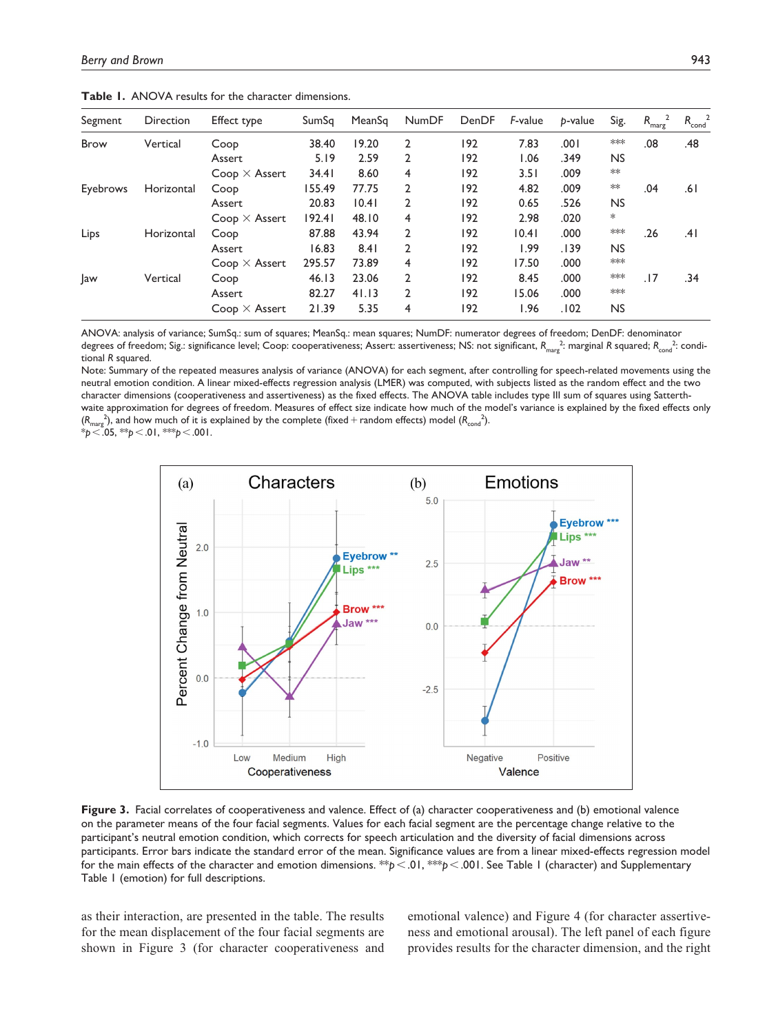| Segment     | Direction  | Effect type          | SumSq  | MeanSq | <b>NumDF</b>   | DenDF | F-value | p-value | Sig.      | $R_{\rm marg}$ | $R_{\text{cond}}^2$ |
|-------------|------------|----------------------|--------|--------|----------------|-------|---------|---------|-----------|----------------|---------------------|
| <b>Brow</b> | Vertical   | Coop                 | 38.40  | 19.20  | 2              | 192   | 7.83    | .001    | ***       | .08            | .48                 |
|             |            | Assert               | 5.19   | 2.59   | 2              | 192   | .06     | .349    | <b>NS</b> |                |                     |
|             |            | $Coop \times Assert$ | 34.41  | 8.60   | 4              | 192   | 3.51    | .009    | $**$      |                |                     |
| Eyebrows    | Horizontal | Coop                 | 155.49 | 77.75  | $\overline{2}$ | 192   | 4.82    | .009    | $**$      | .04            | ا 6.                |
|             |            | Assert               | 20.83  | 10.41  | 2              | 192   | 0.65    | .526    | <b>NS</b> |                |                     |
|             |            | $Coop \times Assert$ | 192.41 | 48.10  | 4              | 192   | 2.98    | .020    | $\ast$    |                |                     |
| Lips        | Horizontal | Coop                 | 87.88  | 43.94  | 2              | 192   | 10.41   | .000    | ***       | .26            | .41                 |
|             |            | Assert               | 16.83  | 8.41   | $\overline{2}$ | 192   | I.99    | .139    | <b>NS</b> |                |                     |
|             |            | $Coop \times Assert$ | 295.57 | 73.89  | 4              | 192   | 17.50   | .000    | ***       |                |                     |
| Jaw         | Vertical   | Coop                 | 46.13  | 23.06  | 2              | 192   | 8.45    | .000    | ***       | .17            | .34                 |
|             |            | Assert               | 82.27  | 41.13  | 2              | 192   | 15.06   | .000    | $***$     |                |                     |
|             |            | $Coop \times Assert$ | 21.39  | 5.35   | 4              | 192   | I.96    | .102    | <b>NS</b> |                |                     |

**Table 1.** ANOVA results for the character dimensions.

ANOVA: analysis of variance; SumSq.: sum of squares; MeanSq.: mean squares; NumDF: numerator degrees of freedom; DenDF: denominator degrees of freedom; Sig.: significance level; Coop: cooperativeness; Assert: assertiveness; NS: not significant,  $R_{\rm marg}^2$ : marginal *R* squared;  $R_{\rm cond}^2$ : conditional *R* squared.

Note: Summary of the repeated measures analysis of variance (ANOVA) for each segment, after controlling for speech-related movements using the neutral emotion condition. A linear mixed-effects regression analysis (LMER) was computed, with subjects listed as the random effect and the two character dimensions (cooperativeness and assertiveness) as the fixed effects. The ANOVA table includes type III sum of squares using Satterthwaite approximation for degrees of freedom. Measures of effect size indicate how much of the model's variance is explained by the fixed effects only  $(R_{\rm marg}^{\ 2})$ , and how much of it is explained by the complete (fixed + random effects) model  $(R_{\rm cond}^{\ 2})$ .

\**p*<.05, \*\**p*<.01, \*\*\**p*<.001.



**Figure 3.** Facial correlates of cooperativeness and valence. Effect of (a) character cooperativeness and (b) emotional valence on the parameter means of the four facial segments. Values for each facial segment are the percentage change relative to the participant's neutral emotion condition, which corrects for speech articulation and the diversity of facial dimensions across participants. Error bars indicate the standard error of the mean. Significance values are from a linear mixed-effects regression model for the main effects of the character and emotion dimensions. \*\**p*<.01, \*\*\**p*<.001. See Table 1 (character) and Supplementary Table 1 (emotion) for full descriptions.

as their interaction, are presented in the table. The results for the mean displacement of the four facial segments are shown in Figure 3 (for character cooperativeness and emotional valence) and Figure 4 (for character assertiveness and emotional arousal). The left panel of each figure provides results for the character dimension, and the right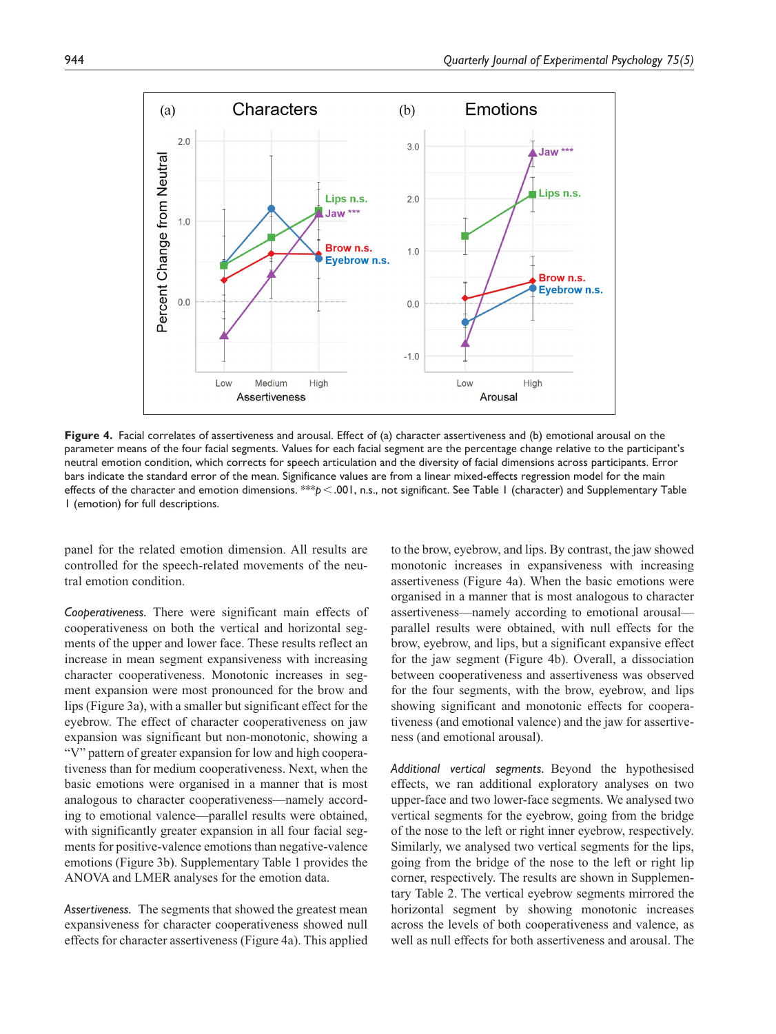

**Figure 4.** Facial correlates of assertiveness and arousal. Effect of (a) character assertiveness and (b) emotional arousal on the parameter means of the four facial segments. Values for each facial segment are the percentage change relative to the participant's neutral emotion condition, which corrects for speech articulation and the diversity of facial dimensions across participants. Error bars indicate the standard error of the mean. Significance values are from a linear mixed-effects regression model for the main effects of the character and emotion dimensions. \*\*\**p*<.001, n.s., not significant. See Table 1 (character) and Supplementary Table 1 (emotion) for full descriptions.

panel for the related emotion dimension. All results are controlled for the speech-related movements of the neutral emotion condition.

*Cooperativeness.* There were significant main effects of cooperativeness on both the vertical and horizontal segments of the upper and lower face. These results reflect an increase in mean segment expansiveness with increasing character cooperativeness. Monotonic increases in segment expansion were most pronounced for the brow and lips (Figure 3a), with a smaller but significant effect for the eyebrow. The effect of character cooperativeness on jaw expansion was significant but non-monotonic, showing a "V" pattern of greater expansion for low and high cooperativeness than for medium cooperativeness. Next, when the basic emotions were organised in a manner that is most analogous to character cooperativeness—namely according to emotional valence—parallel results were obtained, with significantly greater expansion in all four facial segments for positive-valence emotions than negative-valence emotions (Figure 3b). Supplementary Table 1 provides the ANOVA and LMER analyses for the emotion data.

*Assertiveness.* The segments that showed the greatest mean expansiveness for character cooperativeness showed null effects for character assertiveness (Figure 4a). This applied to the brow, eyebrow, and lips. By contrast, the jaw showed monotonic increases in expansiveness with increasing assertiveness (Figure 4a). When the basic emotions were organised in a manner that is most analogous to character assertiveness—namely according to emotional arousal parallel results were obtained, with null effects for the brow, eyebrow, and lips, but a significant expansive effect for the jaw segment (Figure 4b). Overall, a dissociation between cooperativeness and assertiveness was observed for the four segments, with the brow, eyebrow, and lips showing significant and monotonic effects for cooperativeness (and emotional valence) and the jaw for assertiveness (and emotional arousal).

*Additional vertical segments.* Beyond the hypothesised effects, we ran additional exploratory analyses on two upper-face and two lower-face segments. We analysed two vertical segments for the eyebrow, going from the bridge of the nose to the left or right inner eyebrow, respectively. Similarly, we analysed two vertical segments for the lips, going from the bridge of the nose to the left or right lip corner, respectively. The results are shown in Supplementary Table 2. The vertical eyebrow segments mirrored the horizontal segment by showing monotonic increases across the levels of both cooperativeness and valence, as well as null effects for both assertiveness and arousal. The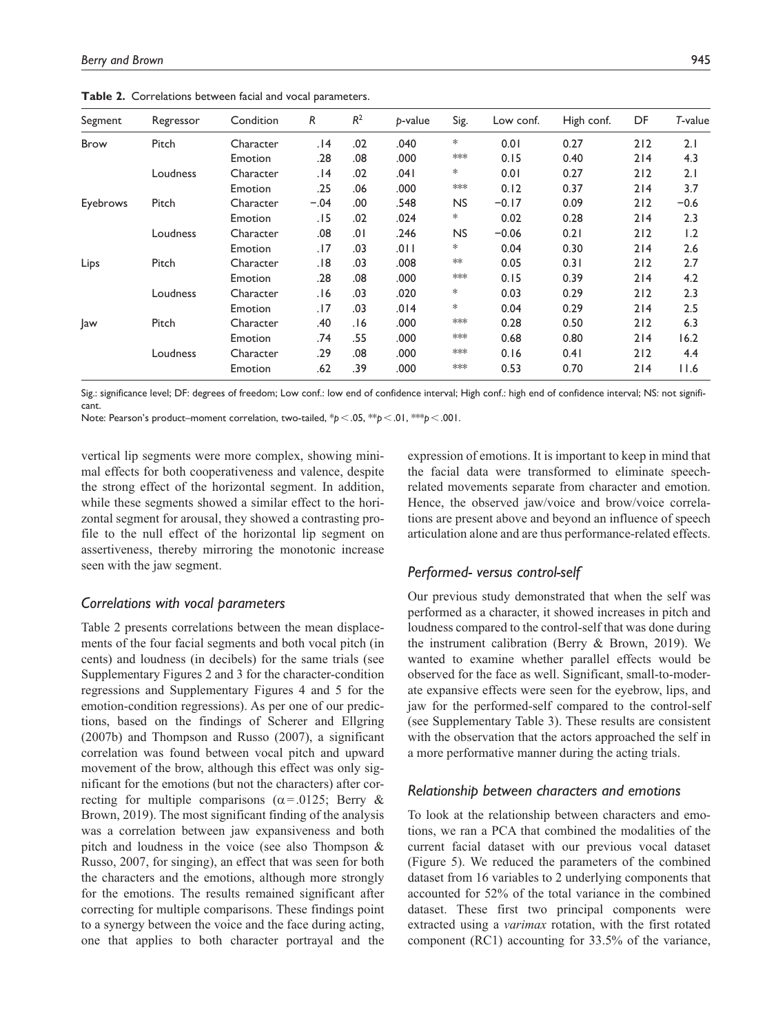| Segment     | Regressor | Condition | R      | $R^2$ | p-value | Sig.      | Low conf. | High conf. | DF  | T-value |
|-------------|-----------|-----------|--------|-------|---------|-----------|-----------|------------|-----|---------|
| <b>Brow</b> | Pitch     | Character | 14.    | .02   | .040    | *         | 0.01      | 0.27       | 212 | 2.1     |
|             |           | Emotion   | .28    | .08   | .000    | ***       | 0.15      | 0.40       | 214 | 4.3     |
|             | Loudness  | Character | 14.    | .02   | .041    | *         | 0.01      | 0.27       | 212 | 2.1     |
|             |           | Emotion   | .25    | .06   | .000    | ***       | 0.12      | 0.37       | 214 | 3.7     |
| Eyebrows    | Pitch     | Character | $-.04$ | .00   | .548    | NS.       | $-0.17$   | 0.09       | 212 | $-0.6$  |
|             |           | Emotion   | . I 5  | .02   | .024    | *         | 0.02      | 0.28       | 214 | 2.3     |
|             | Loudness  | Character | .08    | 0١.   | .246    | <b>NS</b> | $-0.06$   | 0.21       | 212 | 1.2     |
|             |           | Emotion   | .17    | .03   | .011    | *         | 0.04      | 0.30       | 214 | 2.6     |
| Lips        | Pitch     | Character | .18    | .03   | .008    | $*\ast$   | 0.05      | 0.31       | 212 | 2.7     |
|             |           | Emotion   | .28    | .08   | .000    | ***       | 0.15      | 0.39       | 214 | 4.2     |
|             | Loudness  | Character | 6 .    | .03   | .020    | *         | 0.03      | 0.29       | 212 | 2.3     |
|             |           | Emotion   | .17    | .03   | .014    | *         | 0.04      | 0.29       | 214 | 2.5     |
| Jaw         | Pitch     | Character | .40    | .16   | .000    | ***       | 0.28      | 0.50       | 212 | 6.3     |
|             |           | Emotion   | .74    | .55   | .000    | ***       | 0.68      | 0.80       | 214 | 16.2    |
|             | Loudness  | Character | .29    | .08   | .000    | $***$     | 0.16      | 0.41       | 212 | 4.4     |
|             |           | Emotion   | .62    | .39   | .000    | $**$      | 0.53      | 0.70       | 214 | 11.6    |

**Table 2.** Correlations between facial and vocal parameters.

Sig.: significance level; DF: degrees of freedom; Low conf.: low end of confidence interval; High conf.: high end of confidence interval; NS: not significant.

Note: Pearson's product–moment correlation, two-tailed, \**p*<.05, \*\**p*<.01, \*\*\**p*<.001.

vertical lip segments were more complex, showing minimal effects for both cooperativeness and valence, despite the strong effect of the horizontal segment. In addition, while these segments showed a similar effect to the horizontal segment for arousal, they showed a contrasting profile to the null effect of the horizontal lip segment on assertiveness, thereby mirroring the monotonic increase seen with the jaw segment.

#### *Correlations with vocal parameters*

Table 2 presents correlations between the mean displacements of the four facial segments and both vocal pitch (in cents) and loudness (in decibels) for the same trials (see Supplementary Figures 2 and 3 for the character-condition regressions and Supplementary Figures 4 and 5 for the emotion-condition regressions). As per one of our predictions, based on the findings of Scherer and Ellgring (2007b) and Thompson and Russo (2007), a significant correlation was found between vocal pitch and upward movement of the brow, although this effect was only significant for the emotions (but not the characters) after correcting for multiple comparisons ( $\alpha$ =.0125; Berry & Brown, 2019). The most significant finding of the analysis was a correlation between jaw expansiveness and both pitch and loudness in the voice (see also Thompson & Russo, 2007, for singing), an effect that was seen for both the characters and the emotions, although more strongly for the emotions. The results remained significant after correcting for multiple comparisons. These findings point to a synergy between the voice and the face during acting, one that applies to both character portrayal and the

expression of emotions. It is important to keep in mind that the facial data were transformed to eliminate speechrelated movements separate from character and emotion. Hence, the observed jaw/voice and brow/voice correlations are present above and beyond an influence of speech articulation alone and are thus performance-related effects.

## *Performed- versus control-self*

Our previous study demonstrated that when the self was performed as a character, it showed increases in pitch and loudness compared to the control-self that was done during the instrument calibration (Berry & Brown, 2019). We wanted to examine whether parallel effects would be observed for the face as well. Significant, small-to-moderate expansive effects were seen for the eyebrow, lips, and jaw for the performed-self compared to the control-self (see Supplementary Table 3). These results are consistent with the observation that the actors approached the self in a more performative manner during the acting trials.

#### *Relationship between characters and emotions*

To look at the relationship between characters and emotions, we ran a PCA that combined the modalities of the current facial dataset with our previous vocal dataset (Figure 5). We reduced the parameters of the combined dataset from 16 variables to 2 underlying components that accounted for 52% of the total variance in the combined dataset. These first two principal components were extracted using a *varimax* rotation, with the first rotated component (RC1) accounting for 33.5% of the variance,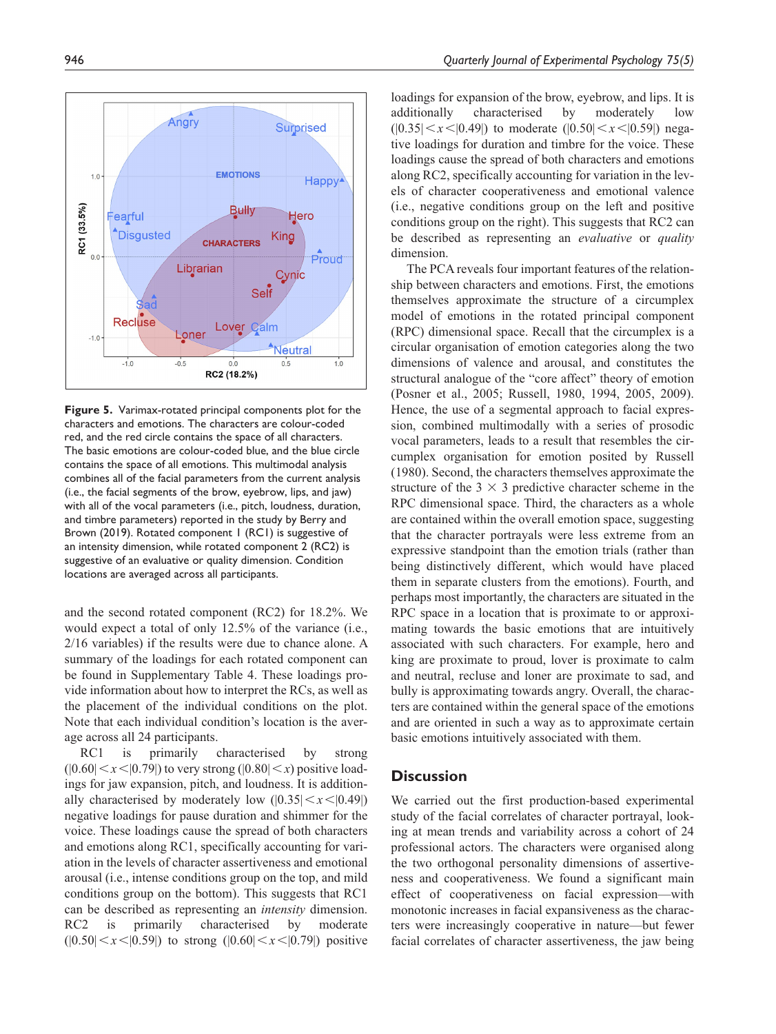

and the second rotated component (RC2) for 18.2%. We would expect a total of only 12.5% of the variance (i.e., 2/16 variables) if the results were due to chance alone. A summary of the loadings for each rotated component can be found in Supplementary Table 4. These loadings provide information about how to interpret the RCs, as well as the placement of the individual conditions on the plot. Note that each individual condition's location is the average across all 24 participants.

RC1 is primarily characterised by strong  $(|0.60| \le x \le |0.79|)$  to very strong  $(|0.80| \le x)$  positive loadings for jaw expansion, pitch, and loudness. It is additionally characterised by moderately low  $(|0.35| \lt x \lt |0.49|)$ negative loadings for pause duration and shimmer for the voice. These loadings cause the spread of both characters and emotions along RC1, specifically accounting for variation in the levels of character assertiveness and emotional arousal (i.e., intense conditions group on the top, and mild conditions group on the bottom). This suggests that RC1 can be described as representing an *intensity* dimension. RC2 is primarily characterised by moderate  $(|0.50| \le x \le |0.59|)$  to strong  $(|0.60| \le x \le |0.79|)$  positive

loadings for expansion of the brow, eyebrow, and lips. It is additionally characterised by moderately low  $(0.35|< x<0.49)$  to moderate  $(0.50|< x<0.59)$  negative loadings for duration and timbre for the voice. These loadings cause the spread of both characters and emotions along RC2, specifically accounting for variation in the levels of character cooperativeness and emotional valence (i.e., negative conditions group on the left and positive conditions group on the right). This suggests that RC2 can be described as representing an *evaluative* or *quality* dimension.

The PCA reveals four important features of the relationship between characters and emotions. First, the emotions themselves approximate the structure of a circumplex model of emotions in the rotated principal component (RPC) dimensional space. Recall that the circumplex is a circular organisation of emotion categories along the two dimensions of valence and arousal, and constitutes the structural analogue of the "core affect" theory of emotion (Posner et al., 2005; Russell, 1980, 1994, 2005, 2009). Hence, the use of a segmental approach to facial expression, combined multimodally with a series of prosodic vocal parameters, leads to a result that resembles the circumplex organisation for emotion posited by Russell (1980). Second, the characters themselves approximate the structure of the  $3 \times 3$  predictive character scheme in the RPC dimensional space. Third, the characters as a whole are contained within the overall emotion space, suggesting that the character portrayals were less extreme from an expressive standpoint than the emotion trials (rather than being distinctively different, which would have placed them in separate clusters from the emotions). Fourth, and perhaps most importantly, the characters are situated in the RPC space in a location that is proximate to or approximating towards the basic emotions that are intuitively associated with such characters. For example, hero and king are proximate to proud, lover is proximate to calm and neutral, recluse and loner are proximate to sad, and bully is approximating towards angry. Overall, the characters are contained within the general space of the emotions and are oriented in such a way as to approximate certain basic emotions intuitively associated with them.

## **Discussion**

We carried out the first production-based experimental study of the facial correlates of character portrayal, looking at mean trends and variability across a cohort of 24 professional actors. The characters were organised along the two orthogonal personality dimensions of assertiveness and cooperativeness. We found a significant main effect of cooperativeness on facial expression—with monotonic increases in facial expansiveness as the characters were increasingly cooperative in nature—but fewer facial correlates of character assertiveness, the jaw being

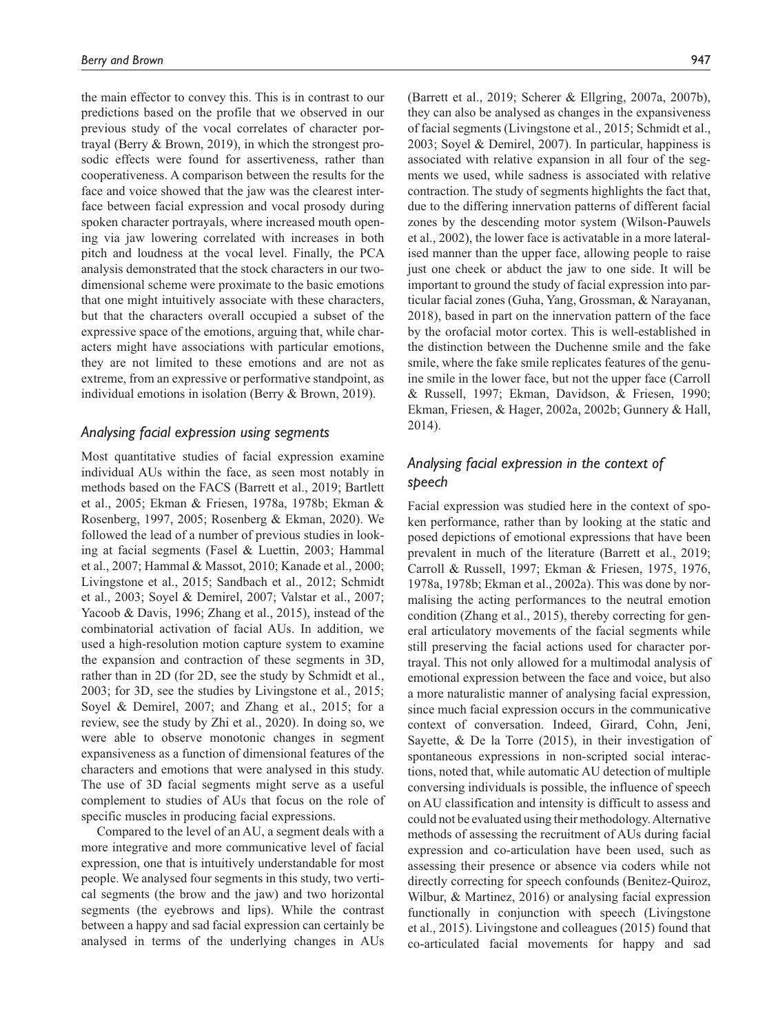the main effector to convey this. This is in contrast to our predictions based on the profile that we observed in our previous study of the vocal correlates of character portrayal (Berry & Brown, 2019), in which the strongest prosodic effects were found for assertiveness, rather than cooperativeness. A comparison between the results for the face and voice showed that the jaw was the clearest interface between facial expression and vocal prosody during spoken character portrayals, where increased mouth opening via jaw lowering correlated with increases in both pitch and loudness at the vocal level. Finally, the PCA analysis demonstrated that the stock characters in our twodimensional scheme were proximate to the basic emotions that one might intuitively associate with these characters, but that the characters overall occupied a subset of the expressive space of the emotions, arguing that, while characters might have associations with particular emotions, they are not limited to these emotions and are not as extreme, from an expressive or performative standpoint, as individual emotions in isolation (Berry & Brown, 2019).

## *Analysing facial expression using segments*

Most quantitative studies of facial expression examine individual AUs within the face, as seen most notably in methods based on the FACS (Barrett et al., 2019; Bartlett et al., 2005; Ekman & Friesen, 1978a, 1978b; Ekman & Rosenberg, 1997, 2005; Rosenberg & Ekman, 2020). We followed the lead of a number of previous studies in looking at facial segments (Fasel & Luettin, 2003; Hammal et al., 2007; Hammal & Massot, 2010; Kanade et al., 2000; Livingstone et al., 2015; Sandbach et al., 2012; Schmidt et al., 2003; Soyel & Demirel, 2007; Valstar et al., 2007; Yacoob & Davis, 1996; Zhang et al., 2015), instead of the combinatorial activation of facial AUs. In addition, we used a high-resolution motion capture system to examine the expansion and contraction of these segments in 3D, rather than in 2D (for 2D, see the study by Schmidt et al., 2003; for 3D, see the studies by Livingstone et al., 2015; Soyel & Demirel, 2007; and Zhang et al., 2015; for a review, see the study by Zhi et al., 2020). In doing so, we were able to observe monotonic changes in segment expansiveness as a function of dimensional features of the characters and emotions that were analysed in this study. The use of 3D facial segments might serve as a useful complement to studies of AUs that focus on the role of specific muscles in producing facial expressions.

Compared to the level of an AU, a segment deals with a more integrative and more communicative level of facial expression, one that is intuitively understandable for most people. We analysed four segments in this study, two vertical segments (the brow and the jaw) and two horizontal segments (the eyebrows and lips). While the contrast between a happy and sad facial expression can certainly be analysed in terms of the underlying changes in AUs

(Barrett et al., 2019; Scherer & Ellgring, 2007a, 2007b), they can also be analysed as changes in the expansiveness of facial segments (Livingstone et al., 2015; Schmidt et al., 2003; Soyel & Demirel, 2007). In particular, happiness is associated with relative expansion in all four of the segments we used, while sadness is associated with relative contraction. The study of segments highlights the fact that, due to the differing innervation patterns of different facial zones by the descending motor system (Wilson-Pauwels et al., 2002), the lower face is activatable in a more lateralised manner than the upper face, allowing people to raise just one cheek or abduct the jaw to one side. It will be important to ground the study of facial expression into particular facial zones (Guha, Yang, Grossman, & Narayanan, 2018), based in part on the innervation pattern of the face by the orofacial motor cortex. This is well-established in the distinction between the Duchenne smile and the fake smile, where the fake smile replicates features of the genuine smile in the lower face, but not the upper face (Carroll & Russell, 1997; Ekman, Davidson, & Friesen, 1990; Ekman, Friesen, & Hager, 2002a, 2002b; Gunnery & Hall, 2014).

# *Analysing facial expression in the context of speech*

Facial expression was studied here in the context of spoken performance, rather than by looking at the static and posed depictions of emotional expressions that have been prevalent in much of the literature (Barrett et al., 2019; Carroll & Russell, 1997; Ekman & Friesen, 1975, 1976, 1978a, 1978b; Ekman et al., 2002a). This was done by normalising the acting performances to the neutral emotion condition (Zhang et al., 2015), thereby correcting for general articulatory movements of the facial segments while still preserving the facial actions used for character portrayal. This not only allowed for a multimodal analysis of emotional expression between the face and voice, but also a more naturalistic manner of analysing facial expression, since much facial expression occurs in the communicative context of conversation. Indeed, Girard, Cohn, Jeni, Sayette, & De la Torre (2015), in their investigation of spontaneous expressions in non-scripted social interactions, noted that, while automatic AU detection of multiple conversing individuals is possible, the influence of speech on AU classification and intensity is difficult to assess and could not be evaluated using their methodology. Alternative methods of assessing the recruitment of AUs during facial expression and co-articulation have been used, such as assessing their presence or absence via coders while not directly correcting for speech confounds (Benitez-Quiroz, Wilbur, & Martinez, 2016) or analysing facial expression functionally in conjunction with speech (Livingstone et al., 2015). Livingstone and colleagues (2015) found that co-articulated facial movements for happy and sad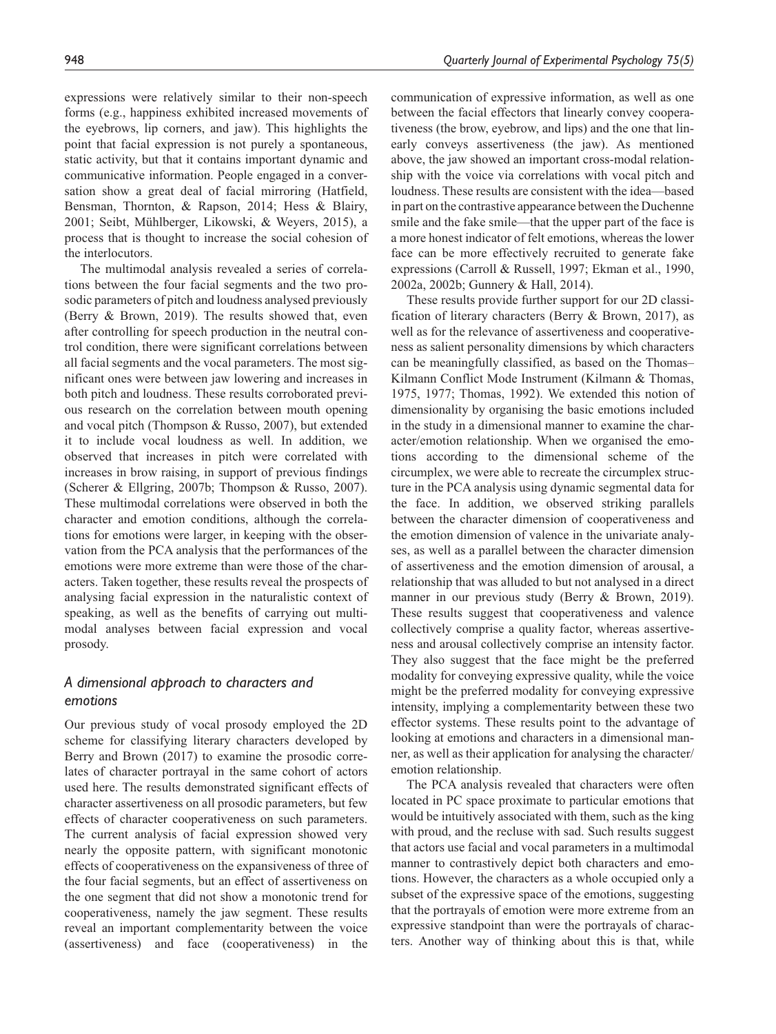expressions were relatively similar to their non-speech forms (e.g., happiness exhibited increased movements of the eyebrows, lip corners, and jaw). This highlights the point that facial expression is not purely a spontaneous, static activity, but that it contains important dynamic and communicative information. People engaged in a conversation show a great deal of facial mirroring (Hatfield, Bensman, Thornton, & Rapson, 2014; Hess & Blairy, 2001; Seibt, Mühlberger, Likowski, & Weyers, 2015), a process that is thought to increase the social cohesion of the interlocutors.

The multimodal analysis revealed a series of correlations between the four facial segments and the two prosodic parameters of pitch and loudness analysed previously (Berry & Brown, 2019). The results showed that, even after controlling for speech production in the neutral control condition, there were significant correlations between all facial segments and the vocal parameters. The most significant ones were between jaw lowering and increases in both pitch and loudness. These results corroborated previous research on the correlation between mouth opening and vocal pitch (Thompson & Russo, 2007), but extended it to include vocal loudness as well. In addition, we observed that increases in pitch were correlated with increases in brow raising, in support of previous findings (Scherer & Ellgring, 2007b; Thompson & Russo, 2007). These multimodal correlations were observed in both the character and emotion conditions, although the correlations for emotions were larger, in keeping with the observation from the PCA analysis that the performances of the emotions were more extreme than were those of the characters. Taken together, these results reveal the prospects of analysing facial expression in the naturalistic context of speaking, as well as the benefits of carrying out multimodal analyses between facial expression and vocal prosody.

# *A dimensional approach to characters and emotions*

Our previous study of vocal prosody employed the 2D scheme for classifying literary characters developed by Berry and Brown (2017) to examine the prosodic correlates of character portrayal in the same cohort of actors used here. The results demonstrated significant effects of character assertiveness on all prosodic parameters, but few effects of character cooperativeness on such parameters. The current analysis of facial expression showed very nearly the opposite pattern, with significant monotonic effects of cooperativeness on the expansiveness of three of the four facial segments, but an effect of assertiveness on the one segment that did not show a monotonic trend for cooperativeness, namely the jaw segment. These results reveal an important complementarity between the voice (assertiveness) and face (cooperativeness) in the

communication of expressive information, as well as one between the facial effectors that linearly convey cooperativeness (the brow, eyebrow, and lips) and the one that linearly conveys assertiveness (the jaw). As mentioned above, the jaw showed an important cross-modal relationship with the voice via correlations with vocal pitch and loudness. These results are consistent with the idea—based in part on the contrastive appearance between the Duchenne smile and the fake smile—that the upper part of the face is a more honest indicator of felt emotions, whereas the lower face can be more effectively recruited to generate fake expressions (Carroll & Russell, 1997; Ekman et al., 1990, 2002a, 2002b; Gunnery & Hall, 2014).

These results provide further support for our 2D classification of literary characters (Berry & Brown, 2017), as well as for the relevance of assertiveness and cooperativeness as salient personality dimensions by which characters can be meaningfully classified, as based on the Thomas– Kilmann Conflict Mode Instrument (Kilmann & Thomas, 1975, 1977; Thomas, 1992). We extended this notion of dimensionality by organising the basic emotions included in the study in a dimensional manner to examine the character/emotion relationship. When we organised the emotions according to the dimensional scheme of the circumplex, we were able to recreate the circumplex structure in the PCA analysis using dynamic segmental data for the face. In addition, we observed striking parallels between the character dimension of cooperativeness and the emotion dimension of valence in the univariate analyses, as well as a parallel between the character dimension of assertiveness and the emotion dimension of arousal, a relationship that was alluded to but not analysed in a direct manner in our previous study (Berry & Brown, 2019). These results suggest that cooperativeness and valence collectively comprise a quality factor, whereas assertiveness and arousal collectively comprise an intensity factor. They also suggest that the face might be the preferred modality for conveying expressive quality, while the voice might be the preferred modality for conveying expressive intensity, implying a complementarity between these two effector systems. These results point to the advantage of looking at emotions and characters in a dimensional manner, as well as their application for analysing the character/ emotion relationship.

The PCA analysis revealed that characters were often located in PC space proximate to particular emotions that would be intuitively associated with them, such as the king with proud, and the recluse with sad. Such results suggest that actors use facial and vocal parameters in a multimodal manner to contrastively depict both characters and emotions. However, the characters as a whole occupied only a subset of the expressive space of the emotions, suggesting that the portrayals of emotion were more extreme from an expressive standpoint than were the portrayals of characters. Another way of thinking about this is that, while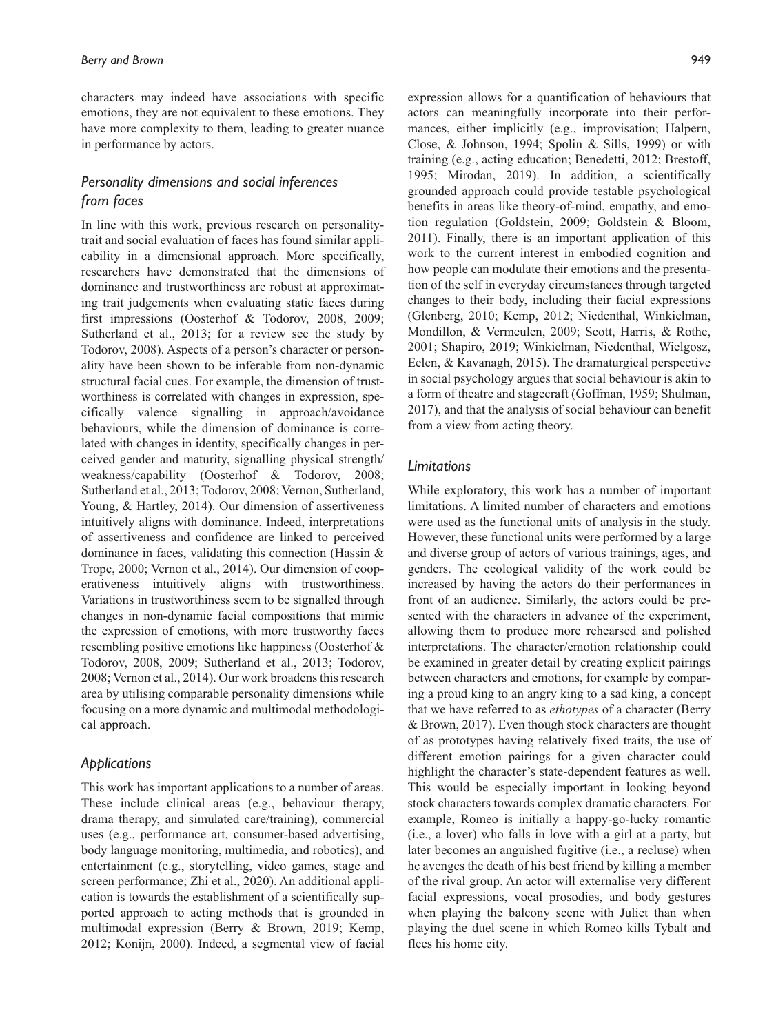characters may indeed have associations with specific emotions, they are not equivalent to these emotions. They have more complexity to them, leading to greater nuance in performance by actors.

# *Personality dimensions and social inferences from faces*

In line with this work, previous research on personalitytrait and social evaluation of faces has found similar applicability in a dimensional approach. More specifically, researchers have demonstrated that the dimensions of dominance and trustworthiness are robust at approximating trait judgements when evaluating static faces during first impressions (Oosterhof & Todorov, 2008, 2009; Sutherland et al., 2013; for a review see the study by Todorov, 2008). Aspects of a person's character or personality have been shown to be inferable from non-dynamic structural facial cues. For example, the dimension of trustworthiness is correlated with changes in expression, specifically valence signalling in approach/avoidance behaviours, while the dimension of dominance is correlated with changes in identity, specifically changes in perceived gender and maturity, signalling physical strength/ weakness/capability (Oosterhof & Todorov, 2008; Sutherland et al., 2013; Todorov, 2008; Vernon, Sutherland, Young, & Hartley, 2014). Our dimension of assertiveness intuitively aligns with dominance. Indeed, interpretations of assertiveness and confidence are linked to perceived dominance in faces, validating this connection (Hassin & Trope, 2000; Vernon et al., 2014). Our dimension of cooperativeness intuitively aligns with trustworthiness. Variations in trustworthiness seem to be signalled through changes in non-dynamic facial compositions that mimic the expression of emotions, with more trustworthy faces resembling positive emotions like happiness (Oosterhof & Todorov, 2008, 2009; Sutherland et al., 2013; Todorov, 2008; Vernon et al., 2014). Our work broadens this research area by utilising comparable personality dimensions while focusing on a more dynamic and multimodal methodological approach.

## *Applications*

This work has important applications to a number of areas. These include clinical areas (e.g., behaviour therapy, drama therapy, and simulated care/training), commercial uses (e.g., performance art, consumer-based advertising, body language monitoring, multimedia, and robotics), and entertainment (e.g., storytelling, video games, stage and screen performance; Zhi et al., 2020). An additional application is towards the establishment of a scientifically supported approach to acting methods that is grounded in multimodal expression (Berry & Brown, 2019; Kemp, 2012; Konijn, 2000). Indeed, a segmental view of facial

expression allows for a quantification of behaviours that actors can meaningfully incorporate into their performances, either implicitly (e.g., improvisation; Halpern, Close, & Johnson, 1994; Spolin & Sills, 1999) or with training (e.g., acting education; Benedetti, 2012; Brestoff, 1995; Mirodan, 2019). In addition, a scientifically grounded approach could provide testable psychological benefits in areas like theory-of-mind, empathy, and emotion regulation (Goldstein, 2009; Goldstein & Bloom, 2011). Finally, there is an important application of this work to the current interest in embodied cognition and how people can modulate their emotions and the presentation of the self in everyday circumstances through targeted changes to their body, including their facial expressions (Glenberg, 2010; Kemp, 2012; Niedenthal, Winkielman, Mondillon, & Vermeulen, 2009; Scott, Harris, & Rothe, 2001; Shapiro, 2019; Winkielman, Niedenthal, Wielgosz, Eelen, & Kavanagh, 2015). The dramaturgical perspective in social psychology argues that social behaviour is akin to a form of theatre and stagecraft (Goffman, 1959; Shulman, 2017), and that the analysis of social behaviour can benefit from a view from acting theory.

## *Limitations*

While exploratory, this work has a number of important limitations. A limited number of characters and emotions were used as the functional units of analysis in the study. However, these functional units were performed by a large and diverse group of actors of various trainings, ages, and genders. The ecological validity of the work could be increased by having the actors do their performances in front of an audience. Similarly, the actors could be presented with the characters in advance of the experiment, allowing them to produce more rehearsed and polished interpretations. The character/emotion relationship could be examined in greater detail by creating explicit pairings between characters and emotions, for example by comparing a proud king to an angry king to a sad king, a concept that we have referred to as *ethotypes* of a character (Berry & Brown, 2017). Even though stock characters are thought of as prototypes having relatively fixed traits, the use of different emotion pairings for a given character could highlight the character's state-dependent features as well. This would be especially important in looking beyond stock characters towards complex dramatic characters. For example, Romeo is initially a happy-go-lucky romantic (i.e., a lover) who falls in love with a girl at a party, but later becomes an anguished fugitive (i.e., a recluse) when he avenges the death of his best friend by killing a member of the rival group. An actor will externalise very different facial expressions, vocal prosodies, and body gestures when playing the balcony scene with Juliet than when playing the duel scene in which Romeo kills Tybalt and flees his home city.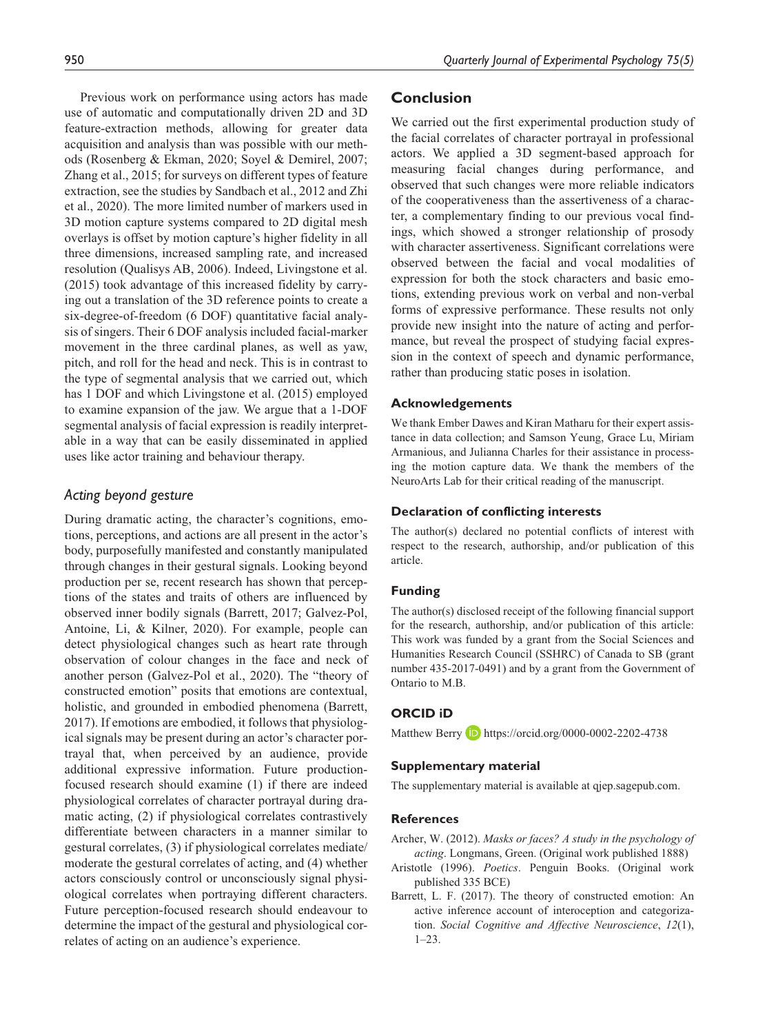Previous work on performance using actors has made use of automatic and computationally driven 2D and 3D feature-extraction methods, allowing for greater data acquisition and analysis than was possible with our methods (Rosenberg & Ekman, 2020; Soyel & Demirel, 2007; Zhang et al., 2015; for surveys on different types of feature extraction, see the studies by Sandbach et al., 2012 and Zhi et al., 2020). The more limited number of markers used in 3D motion capture systems compared to 2D digital mesh overlays is offset by motion capture's higher fidelity in all three dimensions, increased sampling rate, and increased resolution (Qualisys AB, 2006). Indeed, Livingstone et al. (2015) took advantage of this increased fidelity by carrying out a translation of the 3D reference points to create a six-degree-of-freedom (6 DOF) quantitative facial analysis of singers. Their 6 DOF analysis included facial-marker movement in the three cardinal planes, as well as yaw, pitch, and roll for the head and neck. This is in contrast to the type of segmental analysis that we carried out, which has 1 DOF and which Livingstone et al. (2015) employed to examine expansion of the jaw. We argue that a 1-DOF segmental analysis of facial expression is readily interpretable in a way that can be easily disseminated in applied uses like actor training and behaviour therapy.

## *Acting beyond gesture*

During dramatic acting, the character's cognitions, emotions, perceptions, and actions are all present in the actor's body, purposefully manifested and constantly manipulated through changes in their gestural signals. Looking beyond production per se, recent research has shown that perceptions of the states and traits of others are influenced by observed inner bodily signals (Barrett, 2017; Galvez-Pol, Antoine, Li, & Kilner, 2020). For example, people can detect physiological changes such as heart rate through observation of colour changes in the face and neck of another person (Galvez-Pol et al., 2020). The "theory of constructed emotion" posits that emotions are contextual, holistic, and grounded in embodied phenomena (Barrett, 2017). If emotions are embodied, it follows that physiological signals may be present during an actor's character portrayal that, when perceived by an audience, provide additional expressive information. Future productionfocused research should examine (1) if there are indeed physiological correlates of character portrayal during dramatic acting, (2) if physiological correlates contrastively differentiate between characters in a manner similar to gestural correlates, (3) if physiological correlates mediate/ moderate the gestural correlates of acting, and (4) whether actors consciously control or unconsciously signal physiological correlates when portraying different characters. Future perception-focused research should endeavour to determine the impact of the gestural and physiological correlates of acting on an audience's experience.

# **Conclusion**

We carried out the first experimental production study of the facial correlates of character portrayal in professional actors. We applied a 3D segment-based approach for measuring facial changes during performance, and observed that such changes were more reliable indicators of the cooperativeness than the assertiveness of a character, a complementary finding to our previous vocal findings, which showed a stronger relationship of prosody with character assertiveness. Significant correlations were observed between the facial and vocal modalities of expression for both the stock characters and basic emotions, extending previous work on verbal and non-verbal forms of expressive performance. These results not only provide new insight into the nature of acting and performance, but reveal the prospect of studying facial expression in the context of speech and dynamic performance, rather than producing static poses in isolation.

#### **Acknowledgements**

We thank Ember Dawes and Kiran Matharu for their expert assistance in data collection; and Samson Yeung, Grace Lu, Miriam Armanious, and Julianna Charles for their assistance in processing the motion capture data. We thank the members of the NeuroArts Lab for their critical reading of the manuscript.

#### **Declaration of conflicting interests**

The author(s) declared no potential conflicts of interest with respect to the research, authorship, and/or publication of this article.

#### **Funding**

The author(s) disclosed receipt of the following financial support for the research, authorship, and/or publication of this article: This work was funded by a grant from the Social Sciences and Humanities Research Council (SSHRC) of Canada to SB (grant number 435-2017-0491) and by a grant from the Government of Ontario to M.B.

## **ORCID iD**

Matthew Berry **D** <https://orcid.org/0000-0002-2202-4738>

#### **Supplementary material**

The supplementary material is available at qjep.sagepub.com.

## **References**

- Archer, W. (2012). *Masks or faces? A study in the psychology of acting*. Longmans, Green. (Original work published 1888)
- Aristotle (1996). *Poetics*. Penguin Books. (Original work published 335 BCE)
- Barrett, L. F. (2017). The theory of constructed emotion: An active inference account of interoception and categorization. *Social Cognitive and Affective Neuroscience*, *12*(1), 1–23.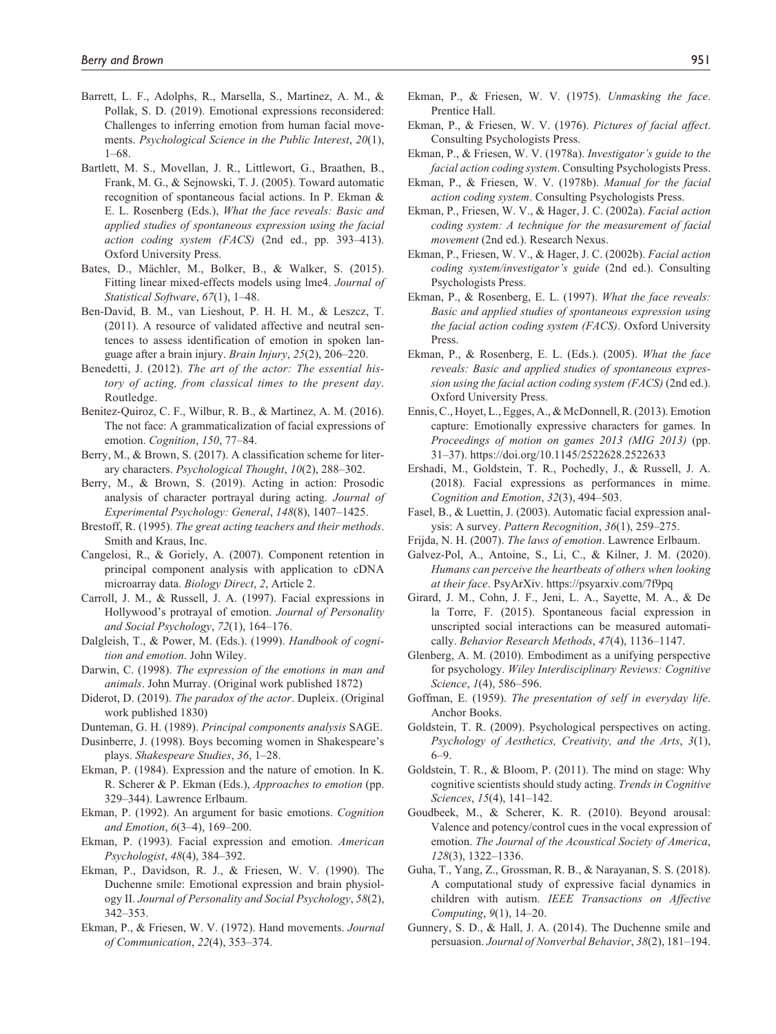- Barrett, L. F., Adolphs, R., Marsella, S., Martinez, A. M., & Pollak, S. D. (2019). Emotional expressions reconsidered: Challenges to inferring emotion from human facial movements. *Psychological Science in the Public Interest*, *20*(1), 1–68.
- Bartlett, M. S., Movellan, J. R., Littlewort, G., Braathen, B., Frank, M. G., & Sejnowski, T. J. (2005). Toward automatic recognition of spontaneous facial actions. In P. Ekman & E. L. Rosenberg (Eds.), *What the face reveals: Basic and applied studies of spontaneous expression using the facial action coding system (FACS)* (2nd ed., pp. 393–413). Oxford University Press.
- Bates, D., Mächler, M., Bolker, B., & Walker, S. (2015). Fitting linear mixed-effects models using lme4. *Journal of Statistical Software*, *67*(1), 1–48.
- Ben-David, B. M., van Lieshout, P. H. H. M., & Leszcz, T. (2011). A resource of validated affective and neutral sentences to assess identification of emotion in spoken language after a brain injury. *Brain Injury*, *25*(2), 206–220.
- Benedetti, J. (2012). *The art of the actor: The essential history of acting, from classical times to the present day*. Routledge.
- Benitez-Quiroz, C. F., Wilbur, R. B., & Martinez, A. M. (2016). The not face: A grammaticalization of facial expressions of emotion. *Cognition*, *150*, 77–84.
- Berry, M., & Brown, S. (2017). A classification scheme for literary characters. *Psychological Thought*, *10*(2), 288–302.
- Berry, M., & Brown, S. (2019). Acting in action: Prosodic analysis of character portrayal during acting. *Journal of Experimental Psychology: General*, *148*(8), 1407–1425.
- Brestoff, R. (1995). *The great acting teachers and their methods*. Smith and Kraus, Inc.
- Cangelosi, R., & Goriely, A. (2007). Component retention in principal component analysis with application to cDNA microarray data. *Biology Direct*, *2*, Article 2.
- Carroll, J. M., & Russell, J. A. (1997). Facial expressions in Hollywood's protrayal of emotion. *Journal of Personality and Social Psychology*, *72*(1), 164–176.
- Dalgleish, T., & Power, M. (Eds.). (1999). *Handbook of cognition and emotion*. John Wiley.
- Darwin, C. (1998). *The expression of the emotions in man and animals*. John Murray. (Original work published 1872)
- Diderot, D. (2019). *The paradox of the actor*. Dupleix. (Original work published 1830)
- Dunteman, G. H. (1989). *Principal components analysis* SAGE.
- Dusinberre, J. (1998). Boys becoming women in Shakespeare's plays. *Shakespeare Studies*, *36*, 1–28.
- Ekman, P. (1984). Expression and the nature of emotion. In K. R. Scherer & P. Ekman (Eds.), *Approaches to emotion* (pp. 329–344). Lawrence Erlbaum.
- Ekman, P. (1992). An argument for basic emotions. *Cognition and Emotion*, *6*(3–4), 169–200.
- Ekman, P. (1993). Facial expression and emotion. *American Psychologist*, *48*(4), 384–392.
- Ekman, P., Davidson, R. J., & Friesen, W. V. (1990). The Duchenne smile: Emotional expression and brain physiology II. *Journal of Personality and Social Psychology*, *58*(2), 342–353.
- Ekman, P., & Friesen, W. V. (1972). Hand movements. *Journal of Communication*, *22*(4), 353–374.
- Ekman, P., & Friesen, W. V. (1975). *Unmasking the face*. Prentice Hall.
- Ekman, P., & Friesen, W. V. (1976). *Pictures of facial affect*. Consulting Psychologists Press.
- Ekman, P., & Friesen, W. V. (1978a). *Investigator's guide to the facial action coding system*. Consulting Psychologists Press.
- Ekman, P., & Friesen, W. V. (1978b). *Manual for the facial action coding system*. Consulting Psychologists Press.
- Ekman, P., Friesen, W. V., & Hager, J. C. (2002a). *Facial action coding system: A technique for the measurement of facial movement* (2nd ed.). Research Nexus.
- Ekman, P., Friesen, W. V., & Hager, J. C. (2002b). *Facial action coding system/investigator's guide* (2nd ed.). Consulting Psychologists Press.
- Ekman, P., & Rosenberg, E. L. (1997). *What the face reveals: Basic and applied studies of spontaneous expression using the facial action coding system (FACS)*. Oxford University Press.
- Ekman, P., & Rosenberg, E. L. (Eds.). (2005). *What the face reveals: Basic and applied studies of spontaneous expression using the facial action coding system (FACS)* (2nd ed.). Oxford University Press.
- Ennis, C., Hoyet, L., Egges, A., & McDonnell, R. (2013). Emotion capture: Emotionally expressive characters for games. In *Proceedings of motion on games 2013 (MIG 2013)* (pp. 31–37).<https://doi.org/10.1145/2522628.2522633>
- Ershadi, M., Goldstein, T. R., Pochedly, J., & Russell, J. A. (2018). Facial expressions as performances in mime. *Cognition and Emotion*, *32*(3), 494–503.
- Fasel, B., & Luettin, J. (2003). Automatic facial expression analysis: A survey. *Pattern Recognition*, *36*(1), 259–275.
- Frijda, N. H. (2007). *The laws of emotion*. Lawrence Erlbaum.
- Galvez-Pol, A., Antoine, S., Li, C., & Kilner, J. M. (2020). *Humans can perceive the heartbeats of others when looking at their face*. PsyArXiv. <https://psyarxiv.com/7f9pq>
- Girard, J. M., Cohn, J. F., Jeni, L. A., Sayette, M. A., & De la Torre, F. (2015). Spontaneous facial expression in unscripted social interactions can be measured automatically. *Behavior Research Methods*, *47*(4), 1136–1147.
- Glenberg, A. M. (2010). Embodiment as a unifying perspective for psychology. *Wiley Interdisciplinary Reviews: Cognitive Science*, *1*(4), 586–596.
- Goffman, E. (1959). *The presentation of self in everyday life*. Anchor Books.
- Goldstein, T. R. (2009). Psychological perspectives on acting. *Psychology of Aesthetics, Creativity, and the Arts*, *3*(1), 6–9.
- Goldstein, T. R., & Bloom, P. (2011). The mind on stage: Why cognitive scientists should study acting. *Trends in Cognitive Sciences*, *15*(4), 141–142.
- Goudbeek, M., & Scherer, K. R. (2010). Beyond arousal: Valence and potency/control cues in the vocal expression of emotion. *The Journal of the Acoustical Society of America*, *128*(3), 1322–1336.
- Guha, T., Yang, Z., Grossman, R. B., & Narayanan, S. S. (2018). A computational study of expressive facial dynamics in children with autism. *IEEE Transactions on Affective Computing*, *9*(1), 14–20.
- Gunnery, S. D., & Hall, J. A. (2014). The Duchenne smile and persuasion. *Journal of Nonverbal Behavior*, *38*(2), 181–194.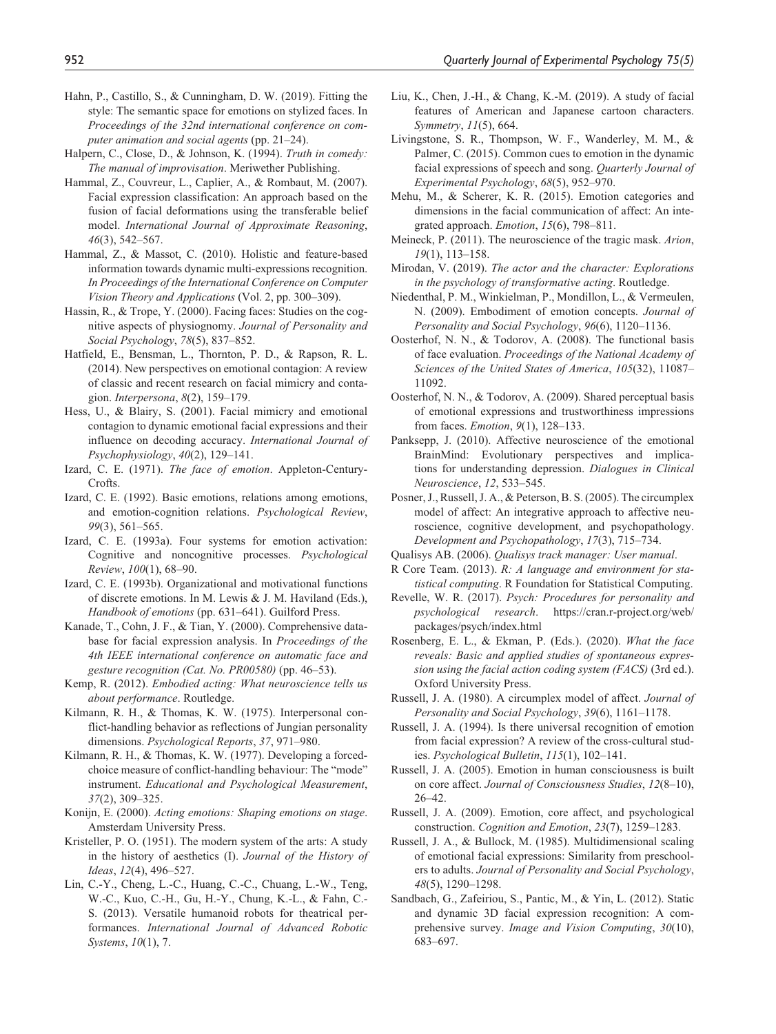- Hahn, P., Castillo, S., & Cunningham, D. W. (2019). Fitting the style: The semantic space for emotions on stylized faces. In *Proceedings of the 32nd international conference on computer animation and social agents* (pp. 21–24).
- Halpern, C., Close, D., & Johnson, K. (1994). *Truth in comedy: The manual of improvisation*. Meriwether Publishing.
- Hammal, Z., Couvreur, L., Caplier, A., & Rombaut, M. (2007). Facial expression classification: An approach based on the fusion of facial deformations using the transferable belief model. *International Journal of Approximate Reasoning*, *46*(3), 542–567.
- Hammal, Z., & Massot, C. (2010). Holistic and feature-based information towards dynamic multi-expressions recognition. *In Proceedings of the International Conference on Computer Vision Theory and Applications* (Vol. 2, pp. 300–309).
- Hassin, R., & Trope, Y. (2000). Facing faces: Studies on the cognitive aspects of physiognomy. *Journal of Personality and Social Psychology*, *78*(5), 837–852.
- Hatfield, E., Bensman, L., Thornton, P. D., & Rapson, R. L. (2014). New perspectives on emotional contagion: A review of classic and recent research on facial mimicry and contagion. *Interpersona*, *8*(2), 159–179.
- Hess, U., & Blairy, S. (2001). Facial mimicry and emotional contagion to dynamic emotional facial expressions and their influence on decoding accuracy. *International Journal of Psychophysiology*, *40*(2), 129–141.
- Izard, C. E. (1971). *The face of emotion*. Appleton-Century-Crofts.
- Izard, C. E. (1992). Basic emotions, relations among emotions, and emotion-cognition relations. *Psychological Review*, *99*(3), 561–565.
- Izard, C. E. (1993a). Four systems for emotion activation: Cognitive and noncognitive processes. *Psychological Review*, *100*(1), 68–90.
- Izard, C. E. (1993b). Organizational and motivational functions of discrete emotions. In M. Lewis & J. M. Haviland (Eds.), *Handbook of emotions* (pp. 631–641). Guilford Press.
- Kanade, T., Cohn, J. F., & Tian, Y. (2000). Comprehensive database for facial expression analysis. In *Proceedings of the 4th IEEE international conference on automatic face and gesture recognition (Cat. No. PR00580)* (pp. 46–53).
- Kemp, R. (2012). *Embodied acting: What neuroscience tells us about performance*. Routledge.
- Kilmann, R. H., & Thomas, K. W. (1975). Interpersonal conflict-handling behavior as reflections of Jungian personality dimensions. *Psychological Reports*, *37*, 971–980.
- Kilmann, R. H., & Thomas, K. W. (1977). Developing a forcedchoice measure of conflict-handling behaviour: The "mode" instrument. *Educational and Psychological Measurement*, *37*(2), 309–325.
- Konijn, E. (2000). *Acting emotions: Shaping emotions on stage*. Amsterdam University Press.
- Kristeller, P. O. (1951). The modern system of the arts: A study in the history of aesthetics (I). *Journal of the History of Ideas*, *12*(4), 496–527.
- Lin, C.-Y., Cheng, L.-C., Huang, C.-C., Chuang, L.-W., Teng, W.-C., Kuo, C.-H., Gu, H.-Y., Chung, K.-L., & Fahn, C.- S. (2013). Versatile humanoid robots for theatrical performances. *International Journal of Advanced Robotic Systems*, *10*(1), 7.
- Liu, K., Chen, J.-H., & Chang, K.-M. (2019). A study of facial features of American and Japanese cartoon characters. *Symmetry*, *11*(5), 664.
- Livingstone, S. R., Thompson, W. F., Wanderley, M. M., & Palmer, C. (2015). Common cues to emotion in the dynamic facial expressions of speech and song. *Quarterly Journal of Experimental Psychology*, *68*(5), 952–970.
- Mehu, M., & Scherer, K. R. (2015). Emotion categories and dimensions in the facial communication of affect: An integrated approach. *Emotion*, *15*(6), 798–811.
- Meineck, P. (2011). The neuroscience of the tragic mask. *Arion*, *19*(1), 113–158.
- Mirodan, V. (2019). *The actor and the character: Explorations in the psychology of transformative acting*. Routledge.
- Niedenthal, P. M., Winkielman, P., Mondillon, L., & Vermeulen, N. (2009). Embodiment of emotion concepts. *Journal of Personality and Social Psychology*, *96*(6), 1120–1136.
- Oosterhof, N. N., & Todorov, A. (2008). The functional basis of face evaluation. *Proceedings of the National Academy of Sciences of the United States of America*, *105*(32), 11087– 11092.
- Oosterhof, N. N., & Todorov, A. (2009). Shared perceptual basis of emotional expressions and trustworthiness impressions from faces. *Emotion*, *9*(1), 128–133.
- Panksepp, J. (2010). Affective neuroscience of the emotional BrainMind: Evolutionary perspectives and implications for understanding depression. *Dialogues in Clinical Neuroscience*, *12*, 533–545.
- Posner, J., Russell, J. A., & Peterson, B. S. (2005). The circumplex model of affect: An integrative approach to affective neuroscience, cognitive development, and psychopathology. *Development and Psychopathology*, *17*(3), 715–734.
- Qualisys AB. (2006). *Qualisys track manager: User manual*.
- R Core Team. (2013). *R: A language and environment for statistical computing*. R Foundation for Statistical Computing.
- Revelle, W. R. (2017). *Psych: Procedures for personality and psychological research*. [https://cran.r-project.org/web/](https://cran.r-project.org/web/packages/psych/index.html) [packages/psych/index.html](https://cran.r-project.org/web/packages/psych/index.html)
- Rosenberg, E. L., & Ekman, P. (Eds.). (2020). *What the face reveals: Basic and applied studies of spontaneous expression using the facial action coding system (FACS)* (3rd ed.). Oxford University Press.
- Russell, J. A. (1980). A circumplex model of affect. *Journal of Personality and Social Psychology*, *39*(6), 1161–1178.
- Russell, J. A. (1994). Is there universal recognition of emotion from facial expression? A review of the cross-cultural studies. *Psychological Bulletin*, *115*(1), 102–141.
- Russell, J. A. (2005). Emotion in human consciousness is built on core affect. *Journal of Consciousness Studies*, *12*(8–10), 26–42.
- Russell, J. A. (2009). Emotion, core affect, and psychological construction. *Cognition and Emotion*, *23*(7), 1259–1283.
- Russell, J. A., & Bullock, M. (1985). Multidimensional scaling of emotional facial expressions: Similarity from preschoolers to adults. *Journal of Personality and Social Psychology*, *48*(5), 1290–1298.
- Sandbach, G., Zafeiriou, S., Pantic, M., & Yin, L. (2012). Static and dynamic 3D facial expression recognition: A comprehensive survey. *Image and Vision Computing*, *30*(10), 683–697.